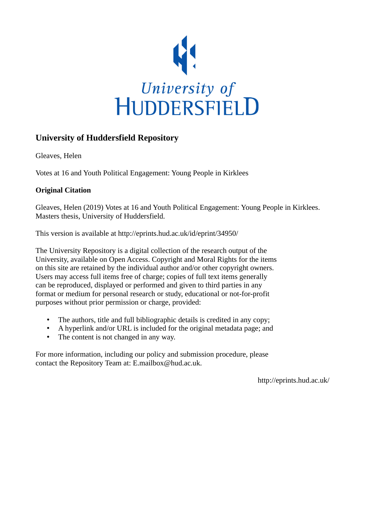

# **University of Huddersfield Repository**

Gleaves, Helen

Votes at 16 and Youth Political Engagement: Young People in Kirklees

## **Original Citation**

Gleaves, Helen (2019) Votes at 16 and Youth Political Engagement: Young People in Kirklees. Masters thesis, University of Huddersfield.

This version is available at http://eprints.hud.ac.uk/id/eprint/34950/

The University Repository is a digital collection of the research output of the University, available on Open Access. Copyright and Moral Rights for the items on this site are retained by the individual author and/or other copyright owners. Users may access full items free of charge; copies of full text items generally can be reproduced, displayed or performed and given to third parties in any format or medium for personal research or study, educational or not-for-profit purposes without prior permission or charge, provided:

- The authors, title and full bibliographic details is credited in any copy;
- A hyperlink and/or URL is included for the original metadata page; and
- The content is not changed in any way.

For more information, including our policy and submission procedure, please contact the Repository Team at: E.mailbox@hud.ac.uk.

http://eprints.hud.ac.uk/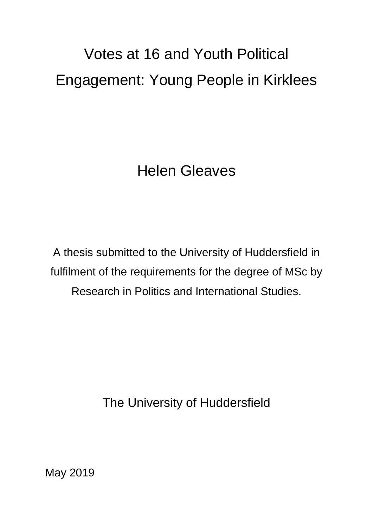# Votes at 16 and Youth Political Engagement: Young People in Kirklees

Helen Gleaves

A thesis submitted to the University of Huddersfield in fulfilment of the requirements for the degree of MSc by Research in Politics and International Studies.

The University of Huddersfield

May 2019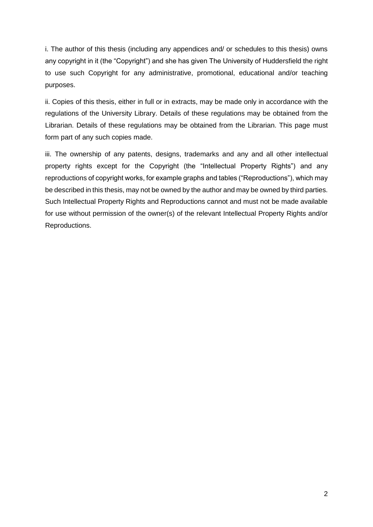i. The author of this thesis (including any appendices and/ or schedules to this thesis) owns any copyright in it (the "Copyright") and she has given The University of Huddersfield the right to use such Copyright for any administrative, promotional, educational and/or teaching purposes.

ii. Copies of this thesis, either in full or in extracts, may be made only in accordance with the regulations of the University Library. Details of these regulations may be obtained from the Librarian. Details of these regulations may be obtained from the Librarian. This page must form part of any such copies made.

iii. The ownership of any patents, designs, trademarks and any and all other intellectual property rights except for the Copyright (the "Intellectual Property Rights") and any reproductions of copyright works, for example graphs and tables ("Reproductions"), which may be described in this thesis, may not be owned by the author and may be owned by third parties. Such Intellectual Property Rights and Reproductions cannot and must not be made available for use without permission of the owner(s) of the relevant Intellectual Property Rights and/or Reproductions.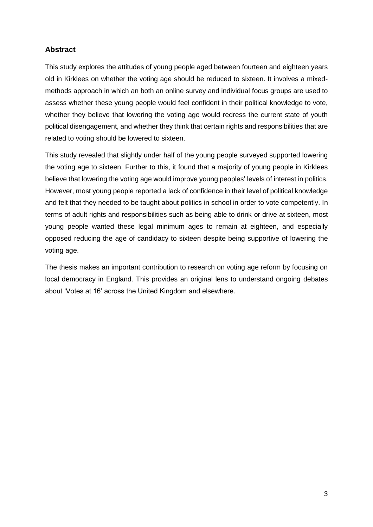## **Abstract**

This study explores the attitudes of young people aged between fourteen and eighteen years old in Kirklees on whether the voting age should be reduced to sixteen. It involves a mixedmethods approach in which an both an online survey and individual focus groups are used to assess whether these young people would feel confident in their political knowledge to vote, whether they believe that lowering the voting age would redress the current state of youth political disengagement, and whether they think that certain rights and responsibilities that are related to voting should be lowered to sixteen.

This study revealed that slightly under half of the young people surveyed supported lowering the voting age to sixteen. Further to this, it found that a majority of young people in Kirklees believe that lowering the voting age would improve young peoples' levels of interest in politics. However, most young people reported a lack of confidence in their level of political knowledge and felt that they needed to be taught about politics in school in order to vote competently. In terms of adult rights and responsibilities such as being able to drink or drive at sixteen, most young people wanted these legal minimum ages to remain at eighteen, and especially opposed reducing the age of candidacy to sixteen despite being supportive of lowering the voting age.

The thesis makes an important contribution to research on voting age reform by focusing on local democracy in England. This provides an original lens to understand ongoing debates about 'Votes at 16' across the United Kingdom and elsewhere.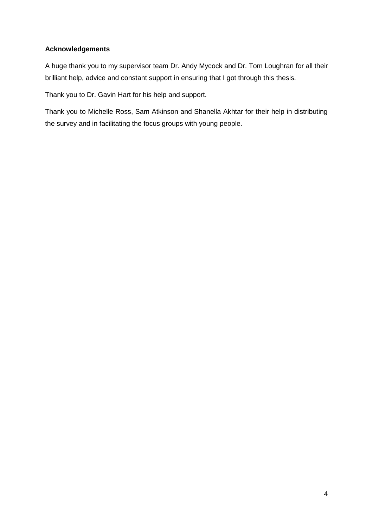## **Acknowledgements**

A huge thank you to my supervisor team Dr. Andy Mycock and Dr. Tom Loughran for all their brilliant help, advice and constant support in ensuring that I got through this thesis.

Thank you to Dr. Gavin Hart for his help and support.

Thank you to Michelle Ross, Sam Atkinson and Shanella Akhtar for their help in distributing the survey and in facilitating the focus groups with young people.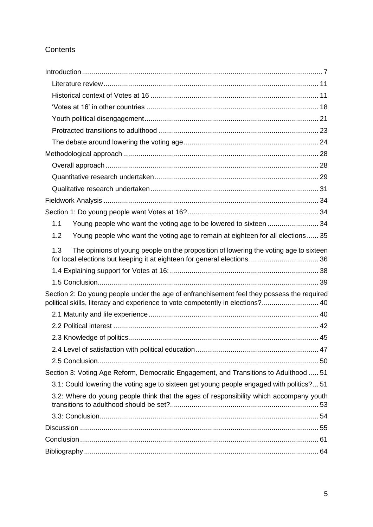# **Contents**

| Young people who want the voting age to be lowered to sixteen  34<br>1.1                                                                                                     |  |
|------------------------------------------------------------------------------------------------------------------------------------------------------------------------------|--|
| Young people who want the voting age to remain at eighteen for all elections  35<br>1.2                                                                                      |  |
| The opinions of young people on the proposition of lowering the voting age to sixteen<br>1.3                                                                                 |  |
|                                                                                                                                                                              |  |
|                                                                                                                                                                              |  |
| Section 2: Do young people under the age of enfranchisement feel they possess the required<br>political skills, literacy and experience to vote competently in elections? 40 |  |
|                                                                                                                                                                              |  |
|                                                                                                                                                                              |  |
|                                                                                                                                                                              |  |
|                                                                                                                                                                              |  |
|                                                                                                                                                                              |  |
| Section 3: Voting Age Reform, Democratic Engagement, and Transitions to Adulthood  51                                                                                        |  |
| 3.1: Could lowering the voting age to sixteen get young people engaged with politics?51                                                                                      |  |
| 3.2: Where do young people think that the ages of responsibility which accompany youth                                                                                       |  |
|                                                                                                                                                                              |  |
|                                                                                                                                                                              |  |
|                                                                                                                                                                              |  |
|                                                                                                                                                                              |  |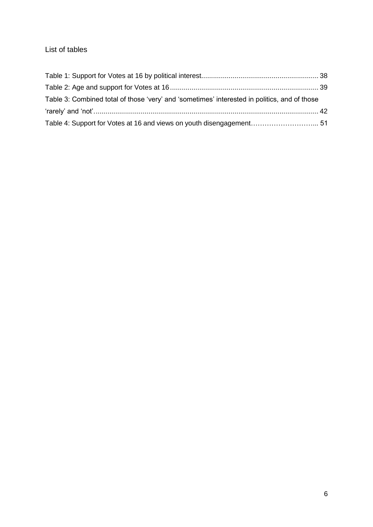# List of tables

| Table 3: Combined total of those 'very' and 'sometimes' interested in politics, and of those |  |
|----------------------------------------------------------------------------------------------|--|
|                                                                                              |  |
|                                                                                              |  |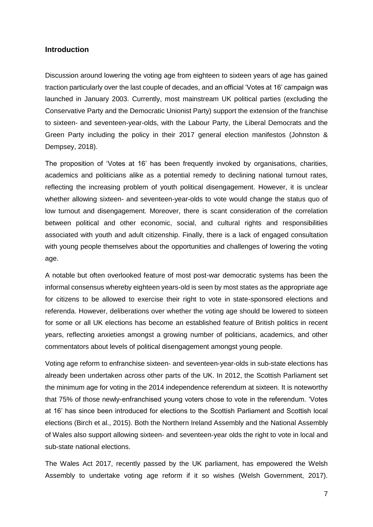#### <span id="page-7-0"></span>**Introduction**

Discussion around lowering the voting age from eighteen to sixteen years of age has gained traction particularly over the last couple of decades, and an official 'Votes at 16' campaign was launched in January 2003. Currently, most mainstream UK political parties (excluding the Conservative Party and the Democratic Unionist Party) support the extension of the franchise to sixteen- and seventeen-year-olds, with the Labour Party, the Liberal Democrats and the Green Party including the policy in their 2017 general election manifestos (Johnston & Dempsey, 2018).

The proposition of 'Votes at 16' has been frequently invoked by organisations, charities, academics and politicians alike as a potential remedy to declining national turnout rates, reflecting the increasing problem of youth political disengagement. However, it is unclear whether allowing sixteen- and seventeen-year-olds to vote would change the status quo of low turnout and disengagement. Moreover, there is scant consideration of the correlation between political and other economic, social, and cultural rights and responsibilities associated with youth and adult citizenship. Finally, there is a lack of engaged consultation with young people themselves about the opportunities and challenges of lowering the voting age.

A notable but often overlooked feature of most post-war democratic systems has been the informal consensus whereby eighteen years-old is seen by most states as the appropriate age for citizens to be allowed to exercise their right to vote in state-sponsored elections and referenda. However, deliberations over whether the voting age should be lowered to sixteen for some or all UK elections has become an established feature of British politics in recent years, reflecting anxieties amongst a growing number of politicians, academics, and other commentators about levels of political disengagement amongst young people.

Voting age reform to enfranchise sixteen- and seventeen-year-olds in sub-state elections has already been undertaken across other parts of the UK. In 2012, the Scottish Parliament set the minimum age for voting in the 2014 independence referendum at sixteen. It is noteworthy that 75% of those newly-enfranchised young voters chose to vote in the referendum. 'Votes at 16' has since been introduced for elections to the Scottish Parliament and Scottish local elections (Birch et al., 2015). Both the Northern Ireland Assembly and the National Assembly of Wales also support allowing sixteen- and seventeen-year olds the right to vote in local and sub-state national elections.

The Wales Act 2017, recently passed by the UK parliament, has empowered the Welsh Assembly to undertake voting age reform if it so wishes (Welsh Government, 2017).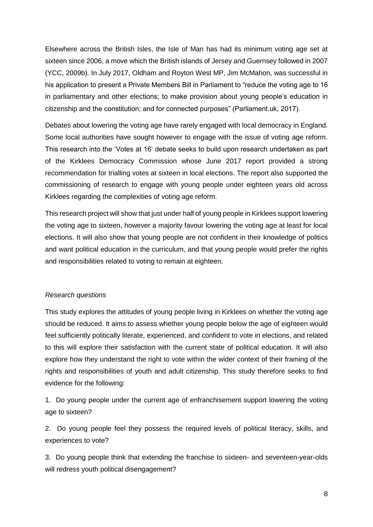Elsewhere across the British Isles, the Isle of Man has had its minimum voting age set at sixteen since 2006, a move which the British islands of Jersey and Guernsey followed in 2007 (YCC, 2009b). In July 2017, Oldham and Royton West MP, Jim McMahon, was successful in his application to present a Private Members Bill in Parliament to "reduce the voting age to 16 in parliamentary and other elections; to make provision about young people's education in citizenship and the constitution; and for connected purposes" (Parliament.uk, 2017).

Debates about lowering the voting age have rarely engaged with local democracy in England. Some local authorities have sought however to engage with the issue of voting age reform. This research into the 'Votes at 16' debate seeks to build upon research undertaken as part of the Kirklees Democracy Commission whose June 2017 report provided a strong recommendation for trialling votes at sixteen in local elections. The report also supported the commissioning of research to engage with young people under eighteen years old across Kirklees regarding the complexities of voting age reform.

This research project will show that just under half of young people in Kirklees support lowering the voting age to sixteen, however a majority favour lowering the voting age at least for local elections. It will also show that young people are not confident in their knowledge of politics and want political education in the curriculum, and that young people would prefer the rights and responsibilities related to voting to remain at eighteen.

#### *Research questions*

This study explores the attitudes of young people living in Kirklees on whether the voting age should be reduced. It aims to assess whether young people below the age of eighteen would feel sufficiently politically literate, experienced, and confident to vote in elections, and related to this will explore their satisfaction with the current state of political education. It will also explore how they understand the right to vote within the wider context of their framing of the rights and responsibilities of youth and adult citizenship. This study therefore seeks to find evidence for the following:

1. Do young people under the current age of enfranchisement support lowering the voting age to sixteen?

2. Do young people feel they possess the required levels of political literacy, skills, and experiences to vote?

3. Do young people think that extending the franchise to sixteen- and seventeen-year-olds will redress youth political disengagement?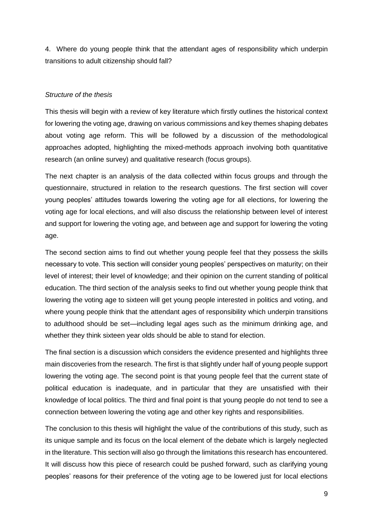4. Where do young people think that the attendant ages of responsibility which underpin transitions to adult citizenship should fall?

#### *Structure of the thesis*

This thesis will begin with a review of key literature which firstly outlines the historical context for lowering the voting age, drawing on various commissions and key themes shaping debates about voting age reform. This will be followed by a discussion of the methodological approaches adopted, highlighting the mixed-methods approach involving both quantitative research (an online survey) and qualitative research (focus groups).

The next chapter is an analysis of the data collected within focus groups and through the questionnaire, structured in relation to the research questions. The first section will cover young peoples' attitudes towards lowering the voting age for all elections, for lowering the voting age for local elections, and will also discuss the relationship between level of interest and support for lowering the voting age, and between age and support for lowering the voting age.

The second section aims to find out whether young people feel that they possess the skills necessary to vote. This section will consider young peoples' perspectives on maturity; on their level of interest; their level of knowledge; and their opinion on the current standing of political education. The third section of the analysis seeks to find out whether young people think that lowering the voting age to sixteen will get young people interested in politics and voting, and where young people think that the attendant ages of responsibility which underpin transitions to adulthood should be set—including legal ages such as the minimum drinking age, and whether they think sixteen year olds should be able to stand for election.

The final section is a discussion which considers the evidence presented and highlights three main discoveries from the research. The first is that slightly under half of young people support lowering the voting age. The second point is that young people feel that the current state of political education is inadequate, and in particular that they are unsatisfied with their knowledge of local politics. The third and final point is that young people do not tend to see a connection between lowering the voting age and other key rights and responsibilities.

The conclusion to this thesis will highlight the value of the contributions of this study, such as its unique sample and its focus on the local element of the debate which is largely neglected in the literature. This section will also go through the limitations this research has encountered. It will discuss how this piece of research could be pushed forward, such as clarifying young peoples' reasons for their preference of the voting age to be lowered just for local elections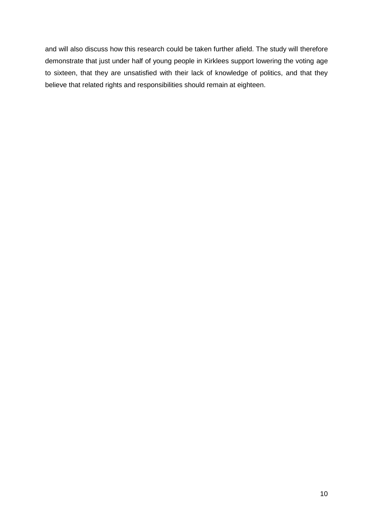<span id="page-10-0"></span>and will also discuss how this research could be taken further afield. The study will therefore demonstrate that just under half of young people in Kirklees support lowering the voting age to sixteen, that they are unsatisfied with their lack of knowledge of politics, and that they believe that related rights and responsibilities should remain at eighteen.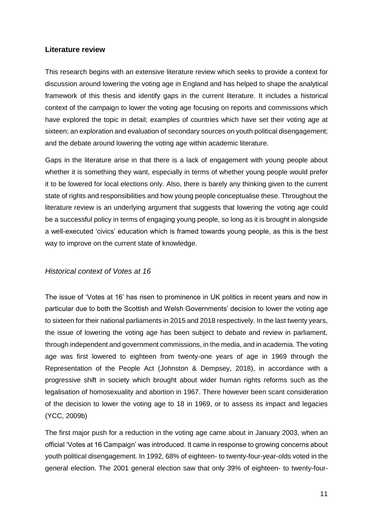#### **Literature review**

This research begins with an extensive literature review which seeks to provide a context for discussion around lowering the voting age in England and has helped to shape the analytical framework of this thesis and identify gaps in the current literature. It includes a historical context of the campaign to lower the voting age focusing on reports and commissions which have explored the topic in detail; examples of countries which have set their voting age at sixteen; an exploration and evaluation of secondary sources on youth political disengagement; and the debate around lowering the voting age within academic literature.

Gaps in the literature arise in that there is a lack of engagement with young people about whether it is something they want, especially in terms of whether young people would prefer it to be lowered for local elections only. Also, there is barely any thinking given to the current state of rights and responsibilities and how young people conceptualise these. Throughout the literature review is an underlying argument that suggests that lowering the voting age could be a successful policy in terms of engaging young people, so long as it is brought in alongside a well-executed 'civics' education which is framed towards young people, as this is the best way to improve on the current state of knowledge.

## <span id="page-11-0"></span>*Historical context of Votes at 16*

The issue of 'Votes at 16' has risen to prominence in UK politics in recent years and now in particular due to both the Scottish and Welsh Governments' decision to lower the voting age to sixteen for their national parliaments in 2015 and 2018 respectively. In the last twenty years, the issue of lowering the voting age has been subject to debate and review in parliament, through independent and government commissions, in the media, and in academia. The voting age was first lowered to eighteen from twenty-one years of age in 1969 through the Representation of the People Act (Johnston & Dempsey, 2018), in accordance with a progressive shift in society which brought about wider human rights reforms such as the legalisation of homosexuality and abortion in 1967. There however been scant consideration of the decision to lower the voting age to 18 in 1969, or to assess its impact and legacies (YCC, 2009b)

The first major push for a reduction in the voting age came about in January 2003, when an official 'Votes at 16 Campaign' was introduced. It came in response to growing concerns about youth political disengagement. In 1992, 68% of eighteen- to twenty-four-year-olds voted in the general election. The 2001 general election saw that only 39% of eighteen- to twenty-four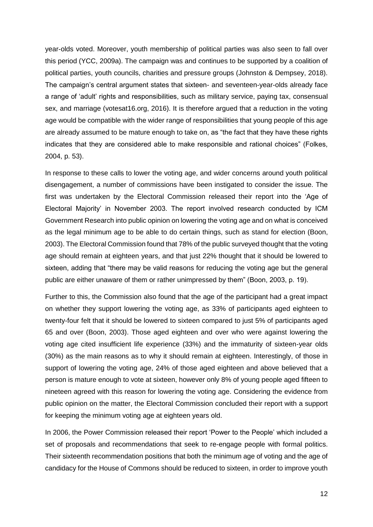year-olds voted. Moreover, youth membership of political parties was also seen to fall over this period (YCC, 2009a). The campaign was and continues to be supported by a coalition of political parties, youth councils, charities and pressure groups (Johnston & Dempsey, 2018). The campaign's central argument states that sixteen- and seventeen-year-olds already face a range of 'adult' rights and responsibilities, such as military service, paying tax, consensual sex, and marriage (votesat16.org, 2016). It is therefore argued that a reduction in the voting age would be compatible with the wider range of responsibilities that young people of this age are already assumed to be mature enough to take on, as "the fact that they have these rights indicates that they are considered able to make responsible and rational choices" (Folkes, 2004, p. 53).

In response to these calls to lower the voting age, and wider concerns around youth political disengagement, a number of commissions have been instigated to consider the issue. The first was undertaken by the Electoral Commission released their report into the 'Age of Electoral Majority' in November 2003. The report involved research conducted by ICM Government Research into public opinion on lowering the voting age and on what is conceived as the legal minimum age to be able to do certain things, such as stand for election (Boon, 2003). The Electoral Commission found that 78% of the public surveyed thought that the voting age should remain at eighteen years, and that just 22% thought that it should be lowered to sixteen, adding that "there may be valid reasons for reducing the voting age but the general public are either unaware of them or rather unimpressed by them" (Boon, 2003, p. 19).

Further to this, the Commission also found that the age of the participant had a great impact on whether they support lowering the voting age, as 33% of participants aged eighteen to twenty-four felt that it should be lowered to sixteen compared to just 5% of participants aged 65 and over (Boon, 2003). Those aged eighteen and over who were against lowering the voting age cited insufficient life experience (33%) and the immaturity of sixteen-year olds (30%) as the main reasons as to why it should remain at eighteen. Interestingly, of those in support of lowering the voting age, 24% of those aged eighteen and above believed that a person is mature enough to vote at sixteen, however only 8% of young people aged fifteen to nineteen agreed with this reason for lowering the voting age. Considering the evidence from public opinion on the matter, the Electoral Commission concluded their report with a support for keeping the minimum voting age at eighteen years old.

In 2006, the Power Commission released their report 'Power to the People' which included a set of proposals and recommendations that seek to re-engage people with formal politics. Their sixteenth recommendation positions that both the minimum age of voting and the age of candidacy for the House of Commons should be reduced to sixteen, in order to improve youth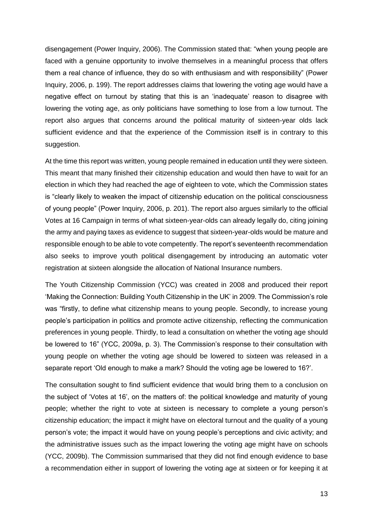disengagement (Power Inquiry, 2006). The Commission stated that: "when young people are faced with a genuine opportunity to involve themselves in a meaningful process that offers them a real chance of influence, they do so with enthusiasm and with responsibility" (Power Inquiry, 2006, p. 199). The report addresses claims that lowering the voting age would have a negative effect on turnout by stating that this is an 'inadequate' reason to disagree with lowering the voting age, as only politicians have something to lose from a low turnout. The report also argues that concerns around the political maturity of sixteen-year olds lack sufficient evidence and that the experience of the Commission itself is in contrary to this suggestion.

At the time this report was written, young people remained in education until they were sixteen. This meant that many finished their citizenship education and would then have to wait for an election in which they had reached the age of eighteen to vote, which the Commission states is "clearly likely to weaken the impact of citizenship education on the political consciousness of young people" (Power Inquiry, 2006, p. 201). The report also argues similarly to the official Votes at 16 Campaign in terms of what sixteen-year-olds can already legally do, citing joining the army and paying taxes as evidence to suggest that sixteen-year-olds would be mature and responsible enough to be able to vote competently. The report's seventeenth recommendation also seeks to improve youth political disengagement by introducing an automatic voter registration at sixteen alongside the allocation of National Insurance numbers.

The Youth Citizenship Commission (YCC) was created in 2008 and produced their report 'Making the Connection: Building Youth Citizenship in the UK' in 2009. The Commission's role was "firstly, to define what citizenship means to young people. Secondly, to increase young people's participation in politics and promote active citizenship, reflecting the communication preferences in young people. Thirdly, to lead a consultation on whether the voting age should be lowered to 16" (YCC, 2009a, p. 3). The Commission's response to their consultation with young people on whether the voting age should be lowered to sixteen was released in a separate report 'Old enough to make a mark? Should the voting age be lowered to 16?'.

The consultation sought to find sufficient evidence that would bring them to a conclusion on the subject of 'Votes at 16', on the matters of: the political knowledge and maturity of young people; whether the right to vote at sixteen is necessary to complete a young person's citizenship education; the impact it might have on electoral turnout and the quality of a young person's vote; the impact it would have on young people's perceptions and civic activity; and the administrative issues such as the impact lowering the voting age might have on schools (YCC, 2009b). The Commission summarised that they did not find enough evidence to base a recommendation either in support of lowering the voting age at sixteen or for keeping it at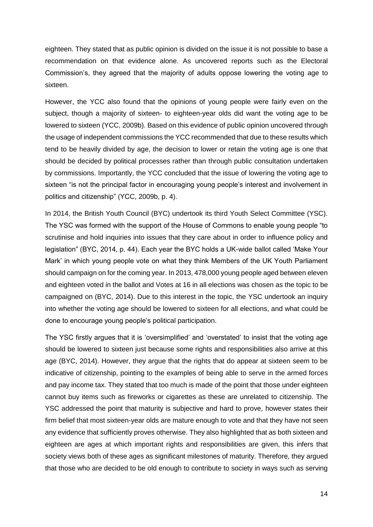eighteen. They stated that as public opinion is divided on the issue it is not possible to base a recommendation on that evidence alone. As uncovered reports such as the Electoral Commission's, they agreed that the majority of adults oppose lowering the voting age to sixteen.

However, the YCC also found that the opinions of young people were fairly even on the subject, though a majority of sixteen- to eighteen-year olds did want the voting age to be lowered to sixteen (YCC, 2009b). Based on this evidence of public opinion uncovered through the usage of independent commissions the YCC recommended that due to these results which tend to be heavily divided by age, the decision to lower or retain the voting age is one that should be decided by political processes rather than through public consultation undertaken by commissions. Importantly, the YCC concluded that the issue of lowering the voting age to sixteen "is not the principal factor in encouraging young people's interest and involvement in politics and citizenship" (YCC, 2009b, p. 4).

In 2014, the British Youth Council (BYC) undertook its third Youth Select Committee (YSC). The YSC was formed with the support of the House of Commons to enable young people "to scrutinise and hold inquiries into issues that they care about in order to influence policy and legislation" (BYC, 2014, p. 44). Each year the BYC holds a UK-wide ballot called 'Make Your Mark' in which young people vote on what they think Members of the UK Youth Parliament should campaign on for the coming year. In 2013, 478,000 young people aged between eleven and eighteen voted in the ballot and Votes at 16 in all elections was chosen as the topic to be campaigned on (BYC, 2014). Due to this interest in the topic, the YSC undertook an inquiry into whether the voting age should be lowered to sixteen for all elections, and what could be done to encourage young people's political participation.

The YSC firstly argues that it is 'oversimplified' and 'overstated' to insist that the voting age should be lowered to sixteen just because some rights and responsibilities also arrive at this age (BYC, 2014). However, they argue that the rights that do appear at sixteen seem to be indicative of citizenship, pointing to the examples of being able to serve in the armed forces and pay income tax. They stated that too much is made of the point that those under eighteen cannot buy items such as fireworks or cigarettes as these are unrelated to citizenship. The YSC addressed the point that maturity is subjective and hard to prove, however states their firm belief that most sixteen-year olds are mature enough to vote and that they have not seen any evidence that sufficiently proves otherwise. They also highlighted that as both sixteen and eighteen are ages at which important rights and responsibilities are given, this infers that society views both of these ages as significant milestones of maturity. Therefore, they argued that those who are decided to be old enough to contribute to society in ways such as serving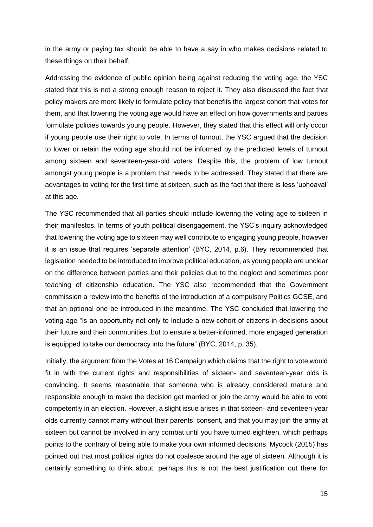in the army or paying tax should be able to have a say in who makes decisions related to these things on their behalf.

Addressing the evidence of public opinion being against reducing the voting age, the YSC stated that this is not a strong enough reason to reject it. They also discussed the fact that policy makers are more likely to formulate policy that benefits the largest cohort that votes for them, and that lowering the voting age would have an effect on how governments and parties formulate policies towards young people. However, they stated that this effect will only occur if young people use their right to vote. In terms of turnout, the YSC argued that the decision to lower or retain the voting age should not be informed by the predicted levels of turnout among sixteen and seventeen-year-old voters. Despite this, the problem of low turnout amongst young people is a problem that needs to be addressed. They stated that there are advantages to voting for the first time at sixteen, such as the fact that there is less 'upheaval' at this age.

The YSC recommended that all parties should include lowering the voting age to sixteen in their manifestos. In terms of youth political disengagement, the YSC's inquiry acknowledged that lowering the voting age to sixteen may well contribute to engaging young people, however it is an issue that requires 'separate attention' (BYC, 2014, p.6). They recommended that legislation needed to be introduced to improve political education, as young people are unclear on the difference between parties and their policies due to the neglect and sometimes poor teaching of citizenship education. The YSC also recommended that the Government commission a review into the benefits of the introduction of a compulsory Politics GCSE, and that an optional one be introduced in the meantime. The YSC concluded that lowering the voting age "is an opportunity not only to include a new cohort of citizens in decisions about their future and their communities, but to ensure a better-informed, more engaged generation is equipped to take our democracy into the future" (BYC, 2014, p. 35).

Initially, the argument from the Votes at 16 Campaign which claims that the right to vote would fit in with the current rights and responsibilities of sixteen- and seventeen-year olds is convincing. It seems reasonable that someone who is already considered mature and responsible enough to make the decision get married or join the army would be able to vote competently in an election. However, a slight issue arises in that sixteen- and seventeen-year olds currently cannot marry without their parents' consent, and that you may join the army at sixteen but cannot be involved in any combat until you have turned eighteen, which perhaps points to the contrary of being able to make your own informed decisions. Mycock (2015) has pointed out that most political rights do not coalesce around the age of sixteen. Although it is certainly something to think about, perhaps this is not the best justification out there for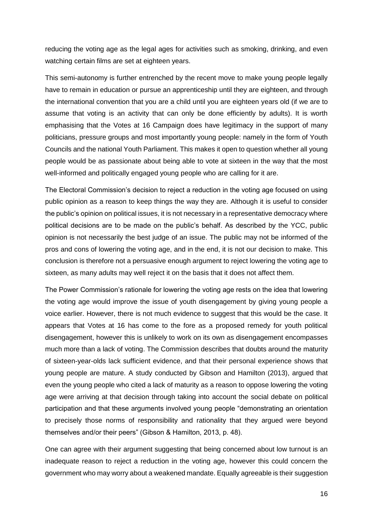reducing the voting age as the legal ages for activities such as smoking, drinking, and even watching certain films are set at eighteen years.

This semi-autonomy is further entrenched by the recent move to make young people legally have to remain in education or pursue an apprenticeship until they are eighteen, and through the international convention that you are a child until you are eighteen years old (if we are to assume that voting is an activity that can only be done efficiently by adults). It is worth emphasising that the Votes at 16 Campaign does have legitimacy in the support of many politicians, pressure groups and most importantly young people: namely in the form of Youth Councils and the national Youth Parliament. This makes it open to question whether all young people would be as passionate about being able to vote at sixteen in the way that the most well-informed and politically engaged young people who are calling for it are.

The Electoral Commission's decision to reject a reduction in the voting age focused on using public opinion as a reason to keep things the way they are. Although it is useful to consider the public's opinion on political issues, it is not necessary in a representative democracy where political decisions are to be made on the public's behalf. As described by the YCC, public opinion is not necessarily the best judge of an issue. The public may not be informed of the pros and cons of lowering the voting age, and in the end, it is not our decision to make. This conclusion is therefore not a persuasive enough argument to reject lowering the voting age to sixteen, as many adults may well reject it on the basis that it does not affect them.

The Power Commission's rationale for lowering the voting age rests on the idea that lowering the voting age would improve the issue of youth disengagement by giving young people a voice earlier. However, there is not much evidence to suggest that this would be the case. It appears that Votes at 16 has come to the fore as a proposed remedy for youth political disengagement, however this is unlikely to work on its own as disengagement encompasses much more than a lack of voting. The Commission describes that doubts around the maturity of sixteen-year-olds lack sufficient evidence, and that their personal experience shows that young people are mature. A study conducted by Gibson and Hamilton (2013), argued that even the young people who cited a lack of maturity as a reason to oppose lowering the voting age were arriving at that decision through taking into account the social debate on political participation and that these arguments involved young people "demonstrating an orientation to precisely those norms of responsibility and rationality that they argued were beyond themselves and/or their peers" (Gibson & Hamilton, 2013, p. 48).

One can agree with their argument suggesting that being concerned about low turnout is an inadequate reason to reject a reduction in the voting age, however this could concern the government who may worry about a weakened mandate. Equally agreeable is their suggestion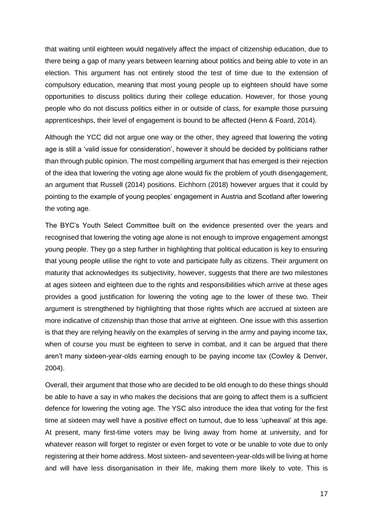that waiting until eighteen would negatively affect the impact of citizenship education, due to there being a gap of many years between learning about politics and being able to vote in an election. This argument has not entirely stood the test of time due to the extension of compulsory education, meaning that most young people up to eighteen should have some opportunities to discuss politics during their college education. However, for those young people who do not discuss politics either in or outside of class, for example those pursuing apprenticeships, their level of engagement is bound to be affected (Henn & Foard, 2014).

Although the YCC did not argue one way or the other, they agreed that lowering the voting age is still a 'valid issue for consideration', however it should be decided by politicians rather than through public opinion. The most compelling argument that has emerged is their rejection of the idea that lowering the voting age alone would fix the problem of youth disengagement, an argument that Russell (2014) positions. Eichhorn (2018) however argues that it could by pointing to the example of young peoples' engagement in Austria and Scotland after lowering the voting age.

The BYC's Youth Select Committee built on the evidence presented over the years and recognised that lowering the voting age alone is not enough to improve engagement amongst young people. They go a step further in highlighting that political education is key to ensuring that young people utilise the right to vote and participate fully as citizens. Their argument on maturity that acknowledges its subjectivity, however, suggests that there are two milestones at ages sixteen and eighteen due to the rights and responsibilities which arrive at these ages provides a good justification for lowering the voting age to the lower of these two. Their argument is strengthened by highlighting that those rights which are accrued at sixteen are more indicative of citizenship than those that arrive at eighteen. One issue with this assertion is that they are relying heavily on the examples of serving in the army and paying income tax, when of course you must be eighteen to serve in combat, and it can be argued that there aren't many sixteen-year-olds earning enough to be paying income tax (Cowley & Denver, 2004).

Overall, their argument that those who are decided to be old enough to do these things should be able to have a say in who makes the decisions that are going to affect them is a sufficient defence for lowering the voting age. The YSC also introduce the idea that voting for the first time at sixteen may well have a positive effect on turnout, due to less 'upheaval' at this age. At present, many first-time voters may be living away from home at university, and for whatever reason will forget to register or even forget to vote or be unable to vote due to only registering at their home address. Most sixteen- and seventeen-year-olds will be living at home and will have less disorganisation in their life, making them more likely to vote. This is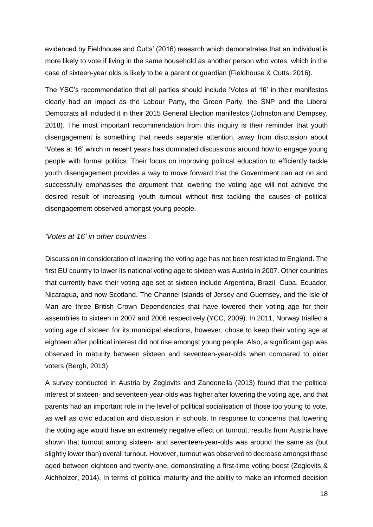evidenced by Fieldhouse and Cutts' (2016) research which demonstrates that an individual is more likely to vote if living in the same household as another person who votes, which in the case of sixteen-year olds is likely to be a parent or guardian (Fieldhouse & Cutts, 2016).

The YSC's recommendation that all parties should include 'Votes at 16' in their manifestos clearly had an impact as the Labour Party, the Green Party, the SNP and the Liberal Democrats all included it in their 2015 General Election manifestos (Johnston and Dempsey, 2018). The most important recommendation from this inquiry is their reminder that youth disengagement is something that needs separate attention, away from discussion about 'Votes at 16' which in recent years has dominated discussions around how to engage young people with formal politics. Their focus on improving political education to efficiently tackle youth disengagement provides a way to move forward that the Government can act on and successfully emphasises the argument that lowering the voting age will not achieve the desired result of increasing youth turnout without first tackling the causes of political disengagement observed amongst young people.

#### <span id="page-18-0"></span>*'Votes at 16' in other countries*

Discussion in consideration of lowering the voting age has not been restricted to England. The first EU country to lower its national voting age to sixteen was Austria in 2007. Other countries that currently have their voting age set at sixteen include Argentina, Brazil, Cuba, Ecuador, Nicaragua, and now Scotland. The Channel Islands of Jersey and Guernsey, and the Isle of Man are three British Crown Dependencies that have lowered their voting age for their assemblies to sixteen in 2007 and 2006 respectively (YCC, 2009). In 2011, Norway trialled a voting age of sixteen for its municipal elections, however, chose to keep their voting age at eighteen after political interest did not rise amongst young people. Also, a significant gap was observed in maturity between sixteen and seventeen-year-olds when compared to older voters (Bergh, 2013)

A survey conducted in Austria by Zeglovits and Zandonella (2013) found that the political interest of sixteen- and seventeen-year-olds was higher after lowering the voting age, and that parents had an important role in the level of political socialisation of those too young to vote, as well as civic education and discussion in schools. In response to concerns that lowering the voting age would have an extremely negative effect on turnout, results from Austria have shown that turnout among sixteen- and seventeen-year-olds was around the same as (but slightly lower than) overall turnout. However, turnout was observed to decrease amongst those aged between eighteen and twenty-one, demonstrating a first-time voting boost (Zeglovits & Aichholzer, 2014). In terms of political maturity and the ability to make an informed decision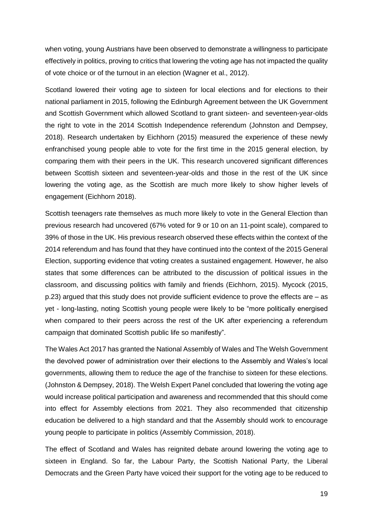when voting, young Austrians have been observed to demonstrate a willingness to participate effectively in politics, proving to critics that lowering the voting age has not impacted the quality of vote choice or of the turnout in an election (Wagner et al., 2012).

Scotland lowered their voting age to sixteen for local elections and for elections to their national parliament in 2015, following the Edinburgh Agreement between the UK Government and Scottish Government which allowed Scotland to grant sixteen- and seventeen-year-olds the right to vote in the 2014 Scottish Independence referendum (Johnston and Dempsey, 2018). Research undertaken by Eichhorn (2015) measured the experience of these newly enfranchised young people able to vote for the first time in the 2015 general election, by comparing them with their peers in the UK. This research uncovered significant differences between Scottish sixteen and seventeen-year-olds and those in the rest of the UK since lowering the voting age, as the Scottish are much more likely to show higher levels of engagement (Eichhorn 2018).

Scottish teenagers rate themselves as much more likely to vote in the General Election than previous research had uncovered (67% voted for 9 or 10 on an 11-point scale), compared to 39% of those in the UK. His previous research observed these effects within the context of the 2014 referendum and has found that they have continued into the context of the 2015 General Election, supporting evidence that voting creates a sustained engagement. However, he also states that some differences can be attributed to the discussion of political issues in the classroom, and discussing politics with family and friends (Eichhorn, 2015). Mycock (2015, p.23) argued that this study does not provide sufficient evidence to prove the effects are – as yet - long-lasting, noting Scottish young people were likely to be "more politically energised when compared to their peers across the rest of the UK after experiencing a referendum campaign that dominated Scottish public life so manifestly".

The Wales Act 2017 has granted the National Assembly of Wales and The Welsh Government the devolved power of administration over their elections to the Assembly and Wales's local governments, allowing them to reduce the age of the franchise to sixteen for these elections. (Johnston & Dempsey, 2018). The Welsh Expert Panel concluded that lowering the voting age would increase political participation and awareness and recommended that this should come into effect for Assembly elections from 2021. They also recommended that citizenship education be delivered to a high standard and that the Assembly should work to encourage young people to participate in politics (Assembly Commission, 2018).

The effect of Scotland and Wales has reignited debate around lowering the voting age to sixteen in England. So far, the Labour Party, the Scottish National Party, the Liberal Democrats and the Green Party have voiced their support for the voting age to be reduced to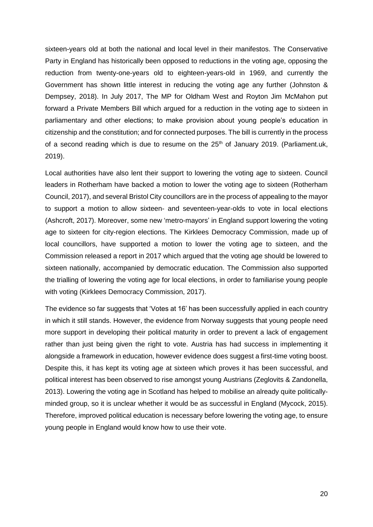sixteen-years old at both the national and local level in their manifestos. The Conservative Party in England has historically been opposed to reductions in the voting age, opposing the reduction from twenty-one-years old to eighteen-years-old in 1969, and currently the Government has shown little interest in reducing the voting age any further (Johnston & Dempsey, 2018). In July 2017, The MP for Oldham West and Royton Jim McMahon put forward a Private Members Bill which argued for a reduction in the voting age to sixteen in parliamentary and other elections; to make provision about young people's education in citizenship and the constitution; and for connected purposes. The bill is currently in the process of a second reading which is due to resume on the 25<sup>th</sup> of January 2019. (Parliament.uk, 2019).

Local authorities have also lent their support to lowering the voting age to sixteen. Council leaders in Rotherham have backed a motion to lower the voting age to sixteen (Rotherham Council, 2017), and several Bristol City councillors are in the process of appealing to the mayor to support a motion to allow sixteen- and seventeen-year-olds to vote in local elections (Ashcroft, 2017). Moreover, some new 'metro-mayors' in England support lowering the voting age to sixteen for city-region elections. The Kirklees Democracy Commission, made up of local councillors, have supported a motion to lower the voting age to sixteen, and the Commission released a report in 2017 which argued that the voting age should be lowered to sixteen nationally, accompanied by democratic education. The Commission also supported the trialling of lowering the voting age for local elections, in order to familiarise young people with voting (Kirklees Democracy Commission, 2017).

<span id="page-20-0"></span>The evidence so far suggests that 'Votes at 16' has been successfully applied in each country in which it still stands. However, the evidence from Norway suggests that young people need more support in developing their political maturity in order to prevent a lack of engagement rather than just being given the right to vote. Austria has had success in implementing it alongside a framework in education, however evidence does suggest a first-time voting boost. Despite this, it has kept its voting age at sixteen which proves it has been successful, and political interest has been observed to rise amongst young Austrians (Zeglovits & Zandonella, 2013). Lowering the voting age in Scotland has helped to mobilise an already quite politicallyminded group, so it is unclear whether it would be as successful in England (Mycock, 2015). Therefore, improved political education is necessary before lowering the voting age, to ensure young people in England would know how to use their vote.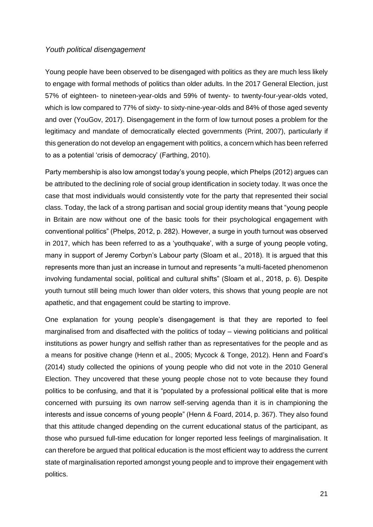#### *Youth political disengagement*

Young people have been observed to be disengaged with politics as they are much less likely to engage with formal methods of politics than older adults. In the 2017 General Election, just 57% of eighteen- to nineteen-year-olds and 59% of twenty- to twenty-four-year-olds voted, which is low compared to 77% of sixty- to sixty-nine-year-olds and 84% of those aged seventy and over (YouGov, 2017). Disengagement in the form of low turnout poses a problem for the legitimacy and mandate of democratically elected governments (Print, 2007), particularly if this generation do not develop an engagement with politics, a concern which has been referred to as a potential 'crisis of democracy' (Farthing, 2010).

Party membership is also low amongst today's young people, which Phelps (2012) argues can be attributed to the declining role of social group identification in society today. It was once the case that most individuals would consistently vote for the party that represented their social class. Today, the lack of a strong partisan and social group identity means that "young people in Britain are now without one of the basic tools for their psychological engagement with conventional politics" (Phelps, 2012, p. 282). However, a surge in youth turnout was observed in 2017, which has been referred to as a 'youthquake', with a surge of young people voting, many in support of Jeremy Corbyn's Labour party (Sloam et al., 2018). It is argued that this represents more than just an increase in turnout and represents "a multi-faceted phenomenon involving fundamental social, political and cultural shifts" (Sloam et al., 2018, p. 6). Despite youth turnout still being much lower than older voters, this shows that young people are not apathetic, and that engagement could be starting to improve.

One explanation for young people's disengagement is that they are reported to feel marginalised from and disaffected with the politics of today – viewing politicians and political institutions as power hungry and selfish rather than as representatives for the people and as a means for positive change (Henn et al., 2005; Mycock & Tonge, 2012). Henn and Foard's (2014) study collected the opinions of young people who did not vote in the 2010 General Election. They uncovered that these young people chose not to vote because they found politics to be confusing, and that it is "populated by a professional political elite that is more concerned with pursuing its own narrow self-serving agenda than it is in championing the interests and issue concerns of young people" (Henn & Foard, 2014, p. 367). They also found that this attitude changed depending on the current educational status of the participant, as those who pursued full-time education for longer reported less feelings of marginalisation. It can therefore be argued that political education is the most efficient way to address the current state of marginalisation reported amongst young people and to improve their engagement with politics.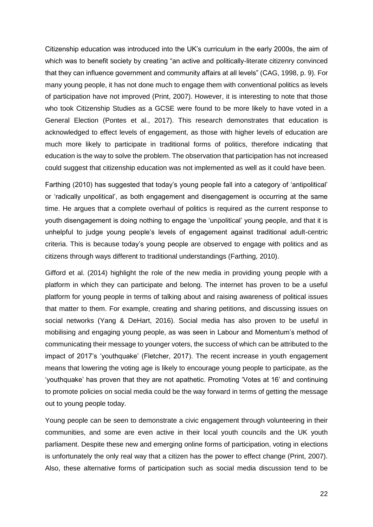Citizenship education was introduced into the UK's curriculum in the early 2000s, the aim of which was to benefit society by creating "an active and politically-literate citizenry convinced that they can influence government and community affairs at all levels" (CAG, 1998, p. 9). For many young people, it has not done much to engage them with conventional politics as levels of participation have not improved (Print, 2007). However, it is interesting to note that those who took Citizenship Studies as a GCSE were found to be more likely to have voted in a General Election (Pontes et al., 2017). This research demonstrates that education is acknowledged to effect levels of engagement, as those with higher levels of education are much more likely to participate in traditional forms of politics, therefore indicating that education is the way to solve the problem. The observation that participation has not increased could suggest that citizenship education was not implemented as well as it could have been.

Farthing (2010) has suggested that today's young people fall into a category of 'antipolitical' or 'radically unpolitical', as both engagement and disengagement is occurring at the same time. He argues that a complete overhaul of politics is required as the current response to youth disengagement is doing nothing to engage the 'unpolitical' young people, and that it is unhelpful to judge young people's levels of engagement against traditional adult-centric criteria. This is because today's young people are observed to engage with politics and as citizens through ways different to traditional understandings (Farthing, 2010).

Gifford et al. (2014) highlight the role of the new media in providing young people with a platform in which they can participate and belong. The internet has proven to be a useful platform for young people in terms of talking about and raising awareness of political issues that matter to them. For example, creating and sharing petitions, and discussing issues on social networks (Yang & DeHart, 2016). Social media has also proven to be useful in mobilising and engaging young people, as was seen in Labour and Momentum's method of communicating their message to younger voters, the success of which can be attributed to the impact of 2017's 'youthquake' (Fletcher, 2017). The recent increase in youth engagement means that lowering the voting age is likely to encourage young people to participate, as the 'youthquake' has proven that they are not apathetic. Promoting 'Votes at 16' and continuing to promote policies on social media could be the way forward in terms of getting the message out to young people today.

Young people can be seen to demonstrate a civic engagement through volunteering in their communities, and some are even active in their local youth councils and the UK youth parliament. Despite these new and emerging online forms of participation, voting in elections is unfortunately the only real way that a citizen has the power to effect change (Print, 2007). Also, these alternative forms of participation such as social media discussion tend to be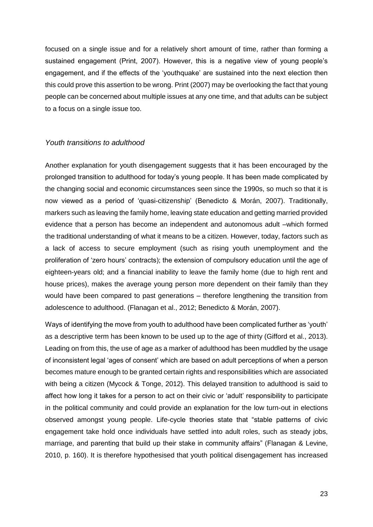focused on a single issue and for a relatively short amount of time, rather than forming a sustained engagement (Print, 2007). However, this is a negative view of young people's engagement, and if the effects of the 'youthquake' are sustained into the next election then this could prove this assertion to be wrong. Print (2007) may be overlooking the fact that young people can be concerned about multiple issues at any one time, and that adults can be subject to a focus on a single issue too.

#### <span id="page-23-0"></span>*Youth transitions to adulthood*

Another explanation for youth disengagement suggests that it has been encouraged by the prolonged transition to adulthood for today's young people. It has been made complicated by the changing social and economic circumstances seen since the 1990s, so much so that it is now viewed as a period of 'quasi-citizenship' (Benedicto & Morán, 2007). Traditionally, markers such as leaving the family home, leaving state education and getting married provided evidence that a person has become an independent and autonomous adult –which formed the traditional understanding of what it means to be a citizen. However, today, factors such as a lack of access to secure employment (such as rising youth unemployment and the proliferation of 'zero hours' contracts); the extension of compulsory education until the age of eighteen-years old; and a financial inability to leave the family home (due to high rent and house prices), makes the average young person more dependent on their family than they would have been compared to past generations – therefore lengthening the transition from adolescence to adulthood. (Flanagan et al., 2012; Benedicto & Morán, 2007).

Ways of identifying the move from youth to adulthood have been complicated further as 'youth' as a descriptive term has been known to be used up to the age of thirty (Gifford et al., 2013). Leading on from this, the use of age as a marker of adulthood has been muddled by the usage of inconsistent legal 'ages of consent' which are based on adult perceptions of when a person becomes mature enough to be granted certain rights and responsibilities which are associated with being a citizen (Mycock & Tonge, 2012). This delayed transition to adulthood is said to affect how long it takes for a person to act on their civic or 'adult' responsibility to participate in the political community and could provide an explanation for the low turn-out in elections observed amongst young people. Life-cycle theories state that "stable patterns of civic engagement take hold once individuals have settled into adult roles, such as steady jobs, marriage, and parenting that build up their stake in community affairs" (Flanagan & Levine, 2010, p. 160). It is therefore hypothesised that youth political disengagement has increased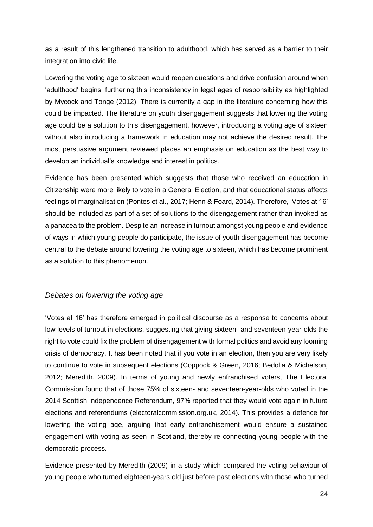as a result of this lengthened transition to adulthood, which has served as a barrier to their integration into civic life.

Lowering the voting age to sixteen would reopen questions and drive confusion around when 'adulthood' begins, furthering this inconsistency in legal ages of responsibility as highlighted by Mycock and Tonge (2012). There is currently a gap in the literature concerning how this could be impacted. The literature on youth disengagement suggests that lowering the voting age could be a solution to this disengagement, however, introducing a voting age of sixteen without also introducing a framework in education may not achieve the desired result. The most persuasive argument reviewed places an emphasis on education as the best way to develop an individual's knowledge and interest in politics.

Evidence has been presented which suggests that those who received an education in Citizenship were more likely to vote in a General Election, and that educational status affects feelings of marginalisation (Pontes et al., 2017; Henn & Foard, 2014). Therefore, 'Votes at 16' should be included as part of a set of solutions to the disengagement rather than invoked as a panacea to the problem. Despite an increase in turnout amongst young people and evidence of ways in which young people do participate, the issue of youth disengagement has become central to the debate around lowering the voting age to sixteen, which has become prominent as a solution to this phenomenon.

#### <span id="page-24-0"></span>*Debates on lowering the voting age*

'Votes at 16' has therefore emerged in political discourse as a response to concerns about low levels of turnout in elections, suggesting that giving sixteen- and seventeen-year-olds the right to vote could fix the problem of disengagement with formal politics and avoid any looming crisis of democracy. It has been noted that if you vote in an election, then you are very likely to continue to vote in subsequent elections (Coppock & Green, 2016; Bedolla & Michelson, 2012; Meredith, 2009). In terms of young and newly enfranchised voters, The Electoral Commission found that of those 75% of sixteen- and seventeen-year-olds who voted in the 2014 Scottish Independence Referendum, 97% reported that they would vote again in future elections and referendums (electoralcommission.org.uk, 2014). This provides a defence for lowering the voting age, arguing that early enfranchisement would ensure a sustained engagement with voting as seen in Scotland, thereby re-connecting young people with the democratic process.

Evidence presented by Meredith (2009) in a study which compared the voting behaviour of young people who turned eighteen-years old just before past elections with those who turned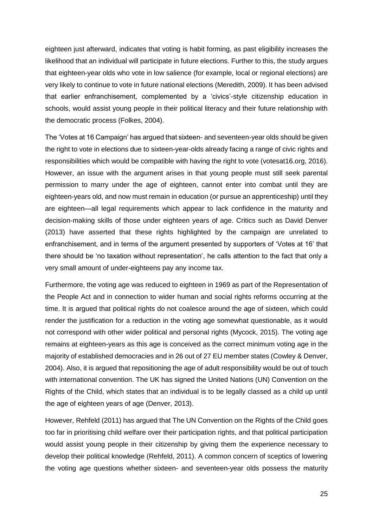eighteen just afterward, indicates that voting is habit forming, as past eligibility increases the likelihood that an individual will participate in future elections. Further to this, the study argues that eighteen-year olds who vote in low salience (for example, local or regional elections) are very likely to continue to vote in future national elections (Meredith, 2009). It has been advised that earlier enfranchisement, complemented by a 'civics'-style citizenship education in schools, would assist young people in their political literacy and their future relationship with the democratic process (Folkes, 2004).

The 'Votes at 16 Campaign' has argued that sixteen- and seventeen-year olds should be given the right to vote in elections due to sixteen-year-olds already facing a range of civic rights and responsibilities which would be compatible with having the right to vote (votesat16.org, 2016). However, an issue with the argument arises in that young people must still seek parental permission to marry under the age of eighteen, cannot enter into combat until they are eighteen-years old, and now must remain in education (or pursue an apprenticeship) until they are eighteen—all legal requirements which appear to lack confidence in the maturity and decision-making skills of those under eighteen years of age. Critics such as David Denver (2013) have asserted that these rights highlighted by the campaign are unrelated to enfranchisement, and in terms of the argument presented by supporters of 'Votes at 16' that there should be 'no taxation without representation', he calls attention to the fact that only a very small amount of under-eighteens pay any income tax.

Furthermore, the voting age was reduced to eighteen in 1969 as part of the Representation of the People Act and in connection to wider human and social rights reforms occurring at the time. It is argued that political rights do not coalesce around the age of sixteen, which could render the justification for a reduction in the voting age somewhat questionable, as it would not correspond with other wider political and personal rights (Mycock, 2015). The voting age remains at eighteen-years as this age is conceived as the correct minimum voting age in the majority of established democracies and in 26 out of 27 EU member states (Cowley & Denver, 2004). Also, it is argued that repositioning the age of adult responsibility would be out of touch with international convention. The UK has signed the United Nations (UN) Convention on the Rights of the Child, which states that an individual is to be legally classed as a child up until the age of eighteen years of age (Denver, 2013).

However, Rehfeld (2011) has argued that The UN Convention on the Rights of the Child goes too far in prioritising child welfare over their participation rights, and that political participation would assist young people in their citizenship by giving them the experience necessary to develop their political knowledge (Rehfeld, 2011). A common concern of sceptics of lowering the voting age questions whether sixteen- and seventeen-year olds possess the maturity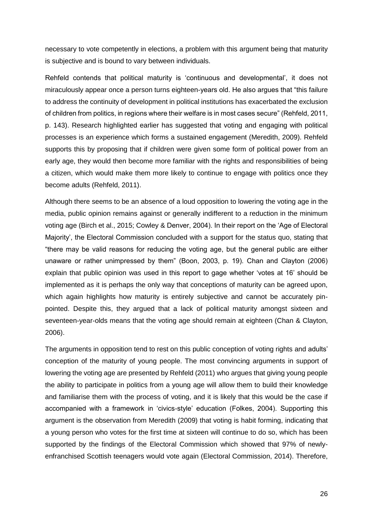necessary to vote competently in elections, a problem with this argument being that maturity is subjective and is bound to vary between individuals.

Rehfeld contends that political maturity is 'continuous and developmental', it does not miraculously appear once a person turns eighteen-years old. He also argues that "this failure to address the continuity of development in political institutions has exacerbated the exclusion of children from politics, in regions where their welfare is in most cases secure" (Rehfeld, 2011, p. 143). Research highlighted earlier has suggested that voting and engaging with political processes is an experience which forms a sustained engagement (Meredith, 2009). Rehfeld supports this by proposing that if children were given some form of political power from an early age, they would then become more familiar with the rights and responsibilities of being a citizen, which would make them more likely to continue to engage with politics once they become adults (Rehfeld, 2011).

Although there seems to be an absence of a loud opposition to lowering the voting age in the media, public opinion remains against or generally indifferent to a reduction in the minimum voting age (Birch et al., 2015; Cowley & Denver, 2004). In their report on the 'Age of Electoral Majority', the Electoral Commission concluded with a support for the status quo, stating that "there may be valid reasons for reducing the voting age, but the general public are either unaware or rather unimpressed by them" (Boon, 2003, p. 19). Chan and Clayton (2006) explain that public opinion was used in this report to gage whether 'votes at 16' should be implemented as it is perhaps the only way that conceptions of maturity can be agreed upon, which again highlights how maturity is entirely subjective and cannot be accurately pinpointed. Despite this, they argued that a lack of political maturity amongst sixteen and seventeen-year-olds means that the voting age should remain at eighteen (Chan & Clayton, 2006).

The arguments in opposition tend to rest on this public conception of voting rights and adults' conception of the maturity of young people. The most convincing arguments in support of lowering the voting age are presented by Rehfeld (2011) who argues that giving young people the ability to participate in politics from a young age will allow them to build their knowledge and familiarise them with the process of voting, and it is likely that this would be the case if accompanied with a framework in 'civics-style' education (Folkes, 2004). Supporting this argument is the observation from Meredith (2009) that voting is habit forming, indicating that a young person who votes for the first time at sixteen will continue to do so, which has been supported by the findings of the Electoral Commission which showed that 97% of newlyenfranchised Scottish teenagers would vote again (Electoral Commission, 2014). Therefore,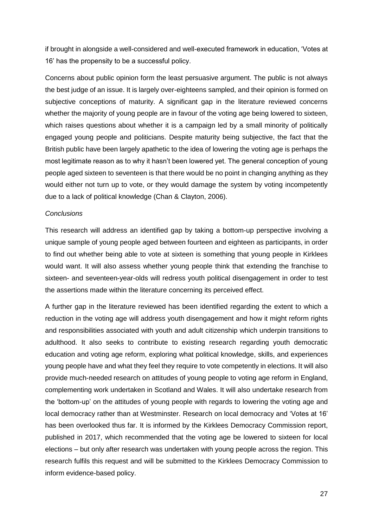if brought in alongside a well-considered and well-executed framework in education, 'Votes at 16' has the propensity to be a successful policy.

Concerns about public opinion form the least persuasive argument. The public is not always the best judge of an issue. It is largely over-eighteens sampled, and their opinion is formed on subjective conceptions of maturity. A significant gap in the literature reviewed concerns whether the majority of young people are in favour of the voting age being lowered to sixteen, which raises questions about whether it is a campaign led by a small minority of politically engaged young people and politicians. Despite maturity being subjective, the fact that the British public have been largely apathetic to the idea of lowering the voting age is perhaps the most legitimate reason as to why it hasn't been lowered yet. The general conception of young people aged sixteen to seventeen is that there would be no point in changing anything as they would either not turn up to vote, or they would damage the system by voting incompetently due to a lack of political knowledge (Chan & Clayton, 2006).

#### *Conclusions*

This research will address an identified gap by taking a bottom-up perspective involving a unique sample of young people aged between fourteen and eighteen as participants, in order to find out whether being able to vote at sixteen is something that young people in Kirklees would want. It will also assess whether young people think that extending the franchise to sixteen- and seventeen-year-olds will redress youth political disengagement in order to test the assertions made within the literature concerning its perceived effect.

<span id="page-27-0"></span>A further gap in the literature reviewed has been identified regarding the extent to which a reduction in the voting age will address youth disengagement and how it might reform rights and responsibilities associated with youth and adult citizenship which underpin transitions to adulthood. It also seeks to contribute to existing research regarding youth democratic education and voting age reform, exploring what political knowledge, skills, and experiences young people have and what they feel they require to vote competently in elections. It will also provide much-needed research on attitudes of young people to voting age reform in England, complementing work undertaken in Scotland and Wales. It will also undertake research from the 'bottom-up' on the attitudes of young people with regards to lowering the voting age and local democracy rather than at Westminster. Research on local democracy and 'Votes at 16' has been overlooked thus far. It is informed by the Kirklees Democracy Commission report, published in 2017, which recommended that the voting age be lowered to sixteen for local elections – but only after research was undertaken with young people across the region. This research fulfils this request and will be submitted to the Kirklees Democracy Commission to inform evidence-based policy.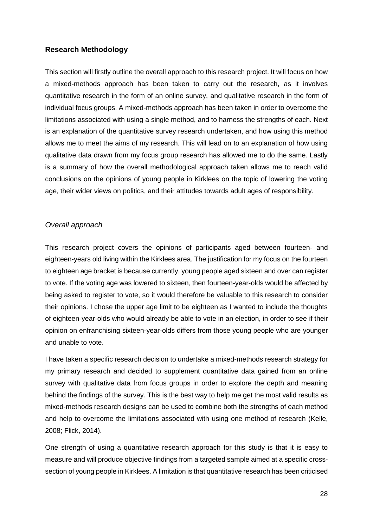#### **Research Methodology**

This section will firstly outline the overall approach to this research project. It will focus on how a mixed-methods approach has been taken to carry out the research, as it involves quantitative research in the form of an online survey, and qualitative research in the form of individual focus groups. A mixed-methods approach has been taken in order to overcome the limitations associated with using a single method, and to harness the strengths of each. Next is an explanation of the quantitative survey research undertaken, and how using this method allows me to meet the aims of my research. This will lead on to an explanation of how using qualitative data drawn from my focus group research has allowed me to do the same. Lastly is a summary of how the overall methodological approach taken allows me to reach valid conclusions on the opinions of young people in Kirklees on the topic of lowering the voting age, their wider views on politics, and their attitudes towards adult ages of responsibility.

#### <span id="page-28-0"></span>*Overall approach*

This research project covers the opinions of participants aged between fourteen- and eighteen-years old living within the Kirklees area. The justification for my focus on the fourteen to eighteen age bracket is because currently, young people aged sixteen and over can register to vote. If the voting age was lowered to sixteen, then fourteen-year-olds would be affected by being asked to register to vote, so it would therefore be valuable to this research to consider their opinions. I chose the upper age limit to be eighteen as I wanted to include the thoughts of eighteen-year-olds who would already be able to vote in an election, in order to see if their opinion on enfranchising sixteen-year-olds differs from those young people who are younger and unable to vote.

I have taken a specific research decision to undertake a mixed-methods research strategy for my primary research and decided to supplement quantitative data gained from an online survey with qualitative data from focus groups in order to explore the depth and meaning behind the findings of the survey. This is the best way to help me get the most valid results as mixed-methods research designs can be used to combine both the strengths of each method and help to overcome the limitations associated with using one method of research (Kelle, 2008; Flick, 2014).

One strength of using a quantitative research approach for this study is that it is easy to measure and will produce objective findings from a targeted sample aimed at a specific crosssection of young people in Kirklees. A limitation is that quantitative research has been criticised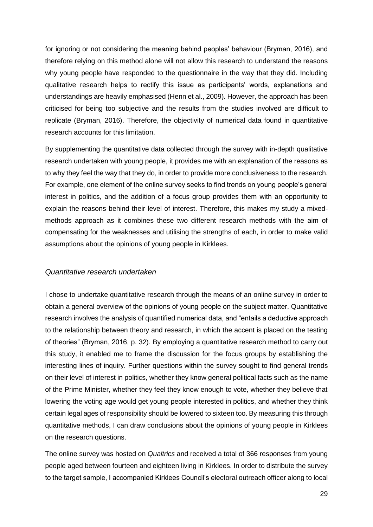for ignoring or not considering the meaning behind peoples' behaviour (Bryman, 2016), and therefore relying on this method alone will not allow this research to understand the reasons why young people have responded to the questionnaire in the way that they did. Including qualitative research helps to rectify this issue as participants' words, explanations and understandings are heavily emphasised (Henn et al., 2009). However, the approach has been criticised for being too subjective and the results from the studies involved are difficult to replicate (Bryman, 2016). Therefore, the objectivity of numerical data found in quantitative research accounts for this limitation.

By supplementing the quantitative data collected through the survey with in-depth qualitative research undertaken with young people, it provides me with an explanation of the reasons as to why they feel the way that they do, in order to provide more conclusiveness to the research. For example, one element of the online survey seeks to find trends on young people's general interest in politics, and the addition of a focus group provides them with an opportunity to explain the reasons behind their level of interest. Therefore, this makes my study a mixedmethods approach as it combines these two different research methods with the aim of compensating for the weaknesses and utilising the strengths of each, in order to make valid assumptions about the opinions of young people in Kirklees.

#### <span id="page-29-0"></span>*Quantitative research undertaken*

I chose to undertake quantitative research through the means of an online survey in order to obtain a general overview of the opinions of young people on the subject matter. Quantitative research involves the analysis of quantified numerical data, and "entails a deductive approach to the relationship between theory and research, in which the accent is placed on the testing of theories" (Bryman, 2016, p. 32). By employing a quantitative research method to carry out this study, it enabled me to frame the discussion for the focus groups by establishing the interesting lines of inquiry. Further questions within the survey sought to find general trends on their level of interest in politics, whether they know general political facts such as the name of the Prime Minister, whether they feel they know enough to vote, whether they believe that lowering the voting age would get young people interested in politics, and whether they think certain legal ages of responsibility should be lowered to sixteen too. By measuring this through quantitative methods, I can draw conclusions about the opinions of young people in Kirklees on the research questions.

The online survey was hosted on *Qualtrics* and received a total of 366 responses from young people aged between fourteen and eighteen living in Kirklees. In order to distribute the survey to the target sample, I accompanied Kirklees Council's electoral outreach officer along to local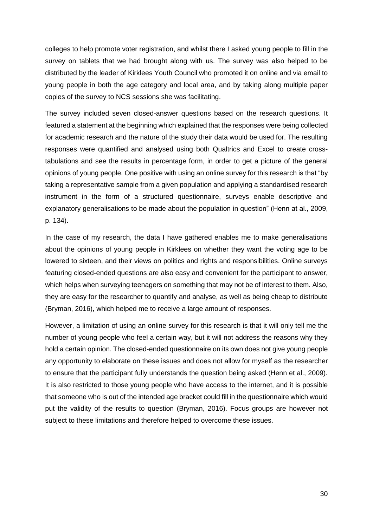colleges to help promote voter registration, and whilst there I asked young people to fill in the survey on tablets that we had brought along with us. The survey was also helped to be distributed by the leader of Kirklees Youth Council who promoted it on online and via email to young people in both the age category and local area, and by taking along multiple paper copies of the survey to NCS sessions she was facilitating.

The survey included seven closed-answer questions based on the research questions. It featured a statement at the beginning which explained that the responses were being collected for academic research and the nature of the study their data would be used for. The resulting responses were quantified and analysed using both Qualtrics and Excel to create crosstabulations and see the results in percentage form, in order to get a picture of the general opinions of young people. One positive with using an online survey for this research is that "by taking a representative sample from a given population and applying a standardised research instrument in the form of a structured questionnaire, surveys enable descriptive and explanatory generalisations to be made about the population in question" (Henn at al., 2009, p. 134).

In the case of my research, the data I have gathered enables me to make generalisations about the opinions of young people in Kirklees on whether they want the voting age to be lowered to sixteen, and their views on politics and rights and responsibilities. Online surveys featuring closed-ended questions are also easy and convenient for the participant to answer, which helps when surveying teenagers on something that may not be of interest to them. Also, they are easy for the researcher to quantify and analyse, as well as being cheap to distribute (Bryman, 2016), which helped me to receive a large amount of responses.

However, a limitation of using an online survey for this research is that it will only tell me the number of young people who feel a certain way, but it will not address the reasons why they hold a certain opinion. The closed-ended questionnaire on its own does not give young people any opportunity to elaborate on these issues and does not allow for myself as the researcher to ensure that the participant fully understands the question being asked (Henn et al., 2009). It is also restricted to those young people who have access to the internet, and it is possible that someone who is out of the intended age bracket could fill in the questionnaire which would put the validity of the results to question (Bryman, 2016). Focus groups are however not subject to these limitations and therefore helped to overcome these issues.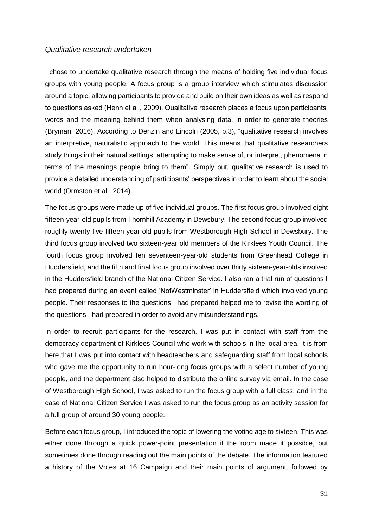#### <span id="page-31-0"></span>*Qualitative research undertaken*

I chose to undertake qualitative research through the means of holding five individual focus groups with young people. A focus group is a group interview which stimulates discussion around a topic, allowing participants to provide and build on their own ideas as well as respond to questions asked (Henn et al., 2009). Qualitative research places a focus upon participants' words and the meaning behind them when analysing data, in order to generate theories (Bryman, 2016). According to Denzin and Lincoln (2005, p.3), "qualitative research involves an interpretive, naturalistic approach to the world. This means that qualitative researchers study things in their natural settings, attempting to make sense of, or interpret, phenomena in terms of the meanings people bring to them". Simply put, qualitative research is used to provide a detailed understanding of participants' perspectives in order to learn about the social world (Ormston et al., 2014).

The focus groups were made up of five individual groups. The first focus group involved eight fifteen-year-old pupils from Thornhill Academy in Dewsbury. The second focus group involved roughly twenty-five fifteen-year-old pupils from Westborough High School in Dewsbury. The third focus group involved two sixteen-year old members of the Kirklees Youth Council. The fourth focus group involved ten seventeen-year-old students from Greenhead College in Huddersfield, and the fifth and final focus group involved over thirty sixteen-year-olds involved in the Huddersfield branch of the National Citizen Service. I also ran a trial run of questions I had prepared during an event called 'NotWestminster' in Huddersfield which involved young people. Their responses to the questions I had prepared helped me to revise the wording of the questions I had prepared in order to avoid any misunderstandings.

In order to recruit participants for the research, I was put in contact with staff from the democracy department of Kirklees Council who work with schools in the local area. It is from here that I was put into contact with headteachers and safeguarding staff from local schools who gave me the opportunity to run hour-long focus groups with a select number of young people, and the department also helped to distribute the online survey via email. In the case of Westborough High School, I was asked to run the focus group with a full class, and in the case of National Citizen Service I was asked to run the focus group as an activity session for a full group of around 30 young people.

Before each focus group, I introduced the topic of lowering the voting age to sixteen. This was either done through a quick power-point presentation if the room made it possible, but sometimes done through reading out the main points of the debate. The information featured a history of the Votes at 16 Campaign and their main points of argument, followed by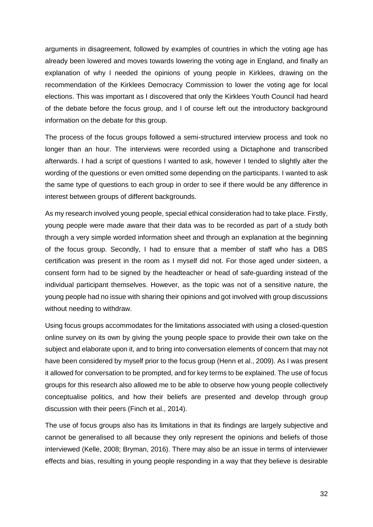arguments in disagreement, followed by examples of countries in which the voting age has already been lowered and moves towards lowering the voting age in England, and finally an explanation of why I needed the opinions of young people in Kirklees, drawing on the recommendation of the Kirklees Democracy Commission to lower the voting age for local elections. This was important as I discovered that only the Kirklees Youth Council had heard of the debate before the focus group, and I of course left out the introductory background information on the debate for this group.

The process of the focus groups followed a semi-structured interview process and took no longer than an hour. The interviews were recorded using a Dictaphone and transcribed afterwards. I had a script of questions I wanted to ask, however I tended to slightly alter the wording of the questions or even omitted some depending on the participants. I wanted to ask the same type of questions to each group in order to see if there would be any difference in interest between groups of different backgrounds.

As my research involved young people, special ethical consideration had to take place. Firstly, young people were made aware that their data was to be recorded as part of a study both through a very simple worded information sheet and through an explanation at the beginning of the focus group. Secondly, I had to ensure that a member of staff who has a DBS certification was present in the room as I myself did not. For those aged under sixteen, a consent form had to be signed by the headteacher or head of safe-guarding instead of the individual participant themselves. However, as the topic was not of a sensitive nature, the young people had no issue with sharing their opinions and got involved with group discussions without needing to withdraw.

Using focus groups accommodates for the limitations associated with using a closed-question online survey on its own by giving the young people space to provide their own take on the subject and elaborate upon it, and to bring into conversation elements of concern that may not have been considered by myself prior to the focus group (Henn et al., 2009). As I was present it allowed for conversation to be prompted, and for key terms to be explained. The use of focus groups for this research also allowed me to be able to observe how young people collectively conceptualise politics, and how their beliefs are presented and develop through group discussion with their peers (Finch et al., 2014).

The use of focus groups also has its limitations in that its findings are largely subjective and cannot be generalised to all because they only represent the opinions and beliefs of those interviewed (Kelle, 2008; Bryman, 2016). There may also be an issue in terms of interviewer effects and bias, resulting in young people responding in a way that they believe is desirable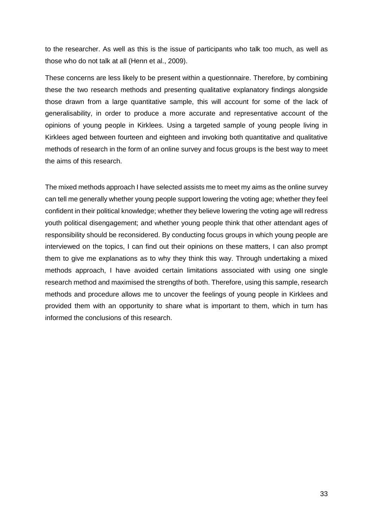to the researcher. As well as this is the issue of participants who talk too much, as well as those who do not talk at all (Henn et al., 2009).

These concerns are less likely to be present within a questionnaire. Therefore, by combining these the two research methods and presenting qualitative explanatory findings alongside those drawn from a large quantitative sample, this will account for some of the lack of generalisability, in order to produce a more accurate and representative account of the opinions of young people in Kirklees. Using a targeted sample of young people living in Kirklees aged between fourteen and eighteen and invoking both quantitative and qualitative methods of research in the form of an online survey and focus groups is the best way to meet the aims of this research.

<span id="page-33-0"></span>The mixed methods approach I have selected assists me to meet my aims as the online survey can tell me generally whether young people support lowering the voting age; whether they feel confident in their political knowledge; whether they believe lowering the voting age will redress youth political disengagement; and whether young people think that other attendant ages of responsibility should be reconsidered. By conducting focus groups in which young people are interviewed on the topics, I can find out their opinions on these matters, I can also prompt them to give me explanations as to why they think this way. Through undertaking a mixed methods approach, I have avoided certain limitations associated with using one single research method and maximised the strengths of both. Therefore, using this sample, research methods and procedure allows me to uncover the feelings of young people in Kirklees and provided them with an opportunity to share what is important to them, which in turn has informed the conclusions of this research.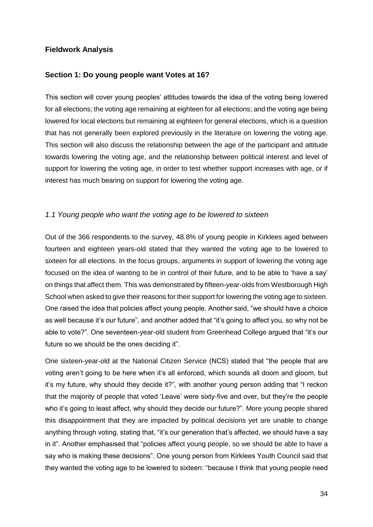## **Fieldwork Analysis**

#### <span id="page-34-0"></span>**Section 1: Do young people want Votes at 16?**

This section will cover young peoples' attitudes towards the idea of the voting being lowered for all elections; the voting age remaining at eighteen for all elections; and the voting age being lowered for local elections but remaining at eighteen for general elections, which is a question that has not generally been explored previously in the literature on lowering the voting age. This section will also discuss the relationship between the age of the participant and attitude towards lowering the voting age, and the relationship between political interest and level of support for lowering the voting age, in order to test whether support increases with age, or if interest has much bearing on support for lowering the voting age.

## <span id="page-34-1"></span>*1.1 Young people who want the voting age to be lowered to sixteen*

Out of the 366 respondents to the survey, 48.8% of young people in Kirklees aged between fourteen and eighteen years-old stated that they wanted the voting age to be lowered to sixteen for all elections. In the focus groups, arguments in support of lowering the voting age focused on the idea of wanting to be in control of their future, and to be able to 'have a say' on things that affect them. This was demonstrated by fifteen-year-olds from Westborough High School when asked to give their reasons for their support for lowering the voting age to sixteen. One raised the idea that policies affect young people. Another said, "we should have a choice as well because it's our future", and another added that "it's going to affect you, so why not be able to vote?". One seventeen-year-old student from Greenhead College argued that "it's our future so we should be the ones deciding it".

One sixteen-year-old at the National Citizen Service (NCS) stated that "the people that are voting aren't going to be here when it's all enforced, which sounds all doom and gloom, but it's my future, why should they decide it?", with another young person adding that "I reckon that the majority of people that voted 'Leave' were sixty-five and over, but they're the people who it's going to least affect, why should they decide our future?". More young people shared this disappointment that they are impacted by political decisions yet are unable to change anything through voting, stating that, "it's our generation that's affected, we should have a say in it". Another emphasised that "policies affect young people, so we should be able to have a say who is making these decisions". One young person from Kirklees Youth Council said that they wanted the voting age to be lowered to sixteen: "because I think that young people need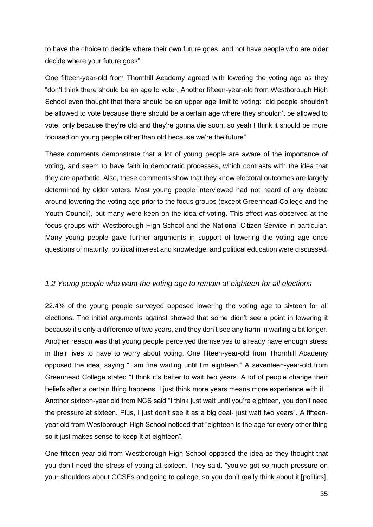to have the choice to decide where their own future goes, and not have people who are older decide where your future goes".

One fifteen-year-old from Thornhill Academy agreed with lowering the voting age as they "don't think there should be an age to vote". Another fifteen-year-old from Westborough High School even thought that there should be an upper age limit to voting: "old people shouldn't be allowed to vote because there should be a certain age where they shouldn't be allowed to vote, only because they're old and they're gonna die soon, so yeah I think it should be more focused on young people other than old because we're the future".

These comments demonstrate that a lot of young people are aware of the importance of voting, and seem to have faith in democratic processes, which contrasts with the idea that they are apathetic. Also, these comments show that they know electoral outcomes are largely determined by older voters. Most young people interviewed had not heard of any debate around lowering the voting age prior to the focus groups (except Greenhead College and the Youth Council), but many were keen on the idea of voting. This effect was observed at the focus groups with Westborough High School and the National Citizen Service in particular. Many young people gave further arguments in support of lowering the voting age once questions of maturity, political interest and knowledge, and political education were discussed.

#### <span id="page-35-0"></span>*1.2 Young people who want the voting age to remain at eighteen for all elections*

22.4% of the young people surveyed opposed lowering the voting age to sixteen for all elections. The initial arguments against showed that some didn't see a point in lowering it because it's only a difference of two years, and they don't see any harm in waiting a bit longer. Another reason was that young people perceived themselves to already have enough stress in their lives to have to worry about voting. One fifteen-year-old from Thornhill Academy opposed the idea, saying "I am fine waiting until I'm eighteen." A seventeen-year-old from Greenhead College stated "I think it's better to wait two years. A lot of people change their beliefs after a certain thing happens, I just think more years means more experience with it." Another sixteen-year old from NCS said "I think just wait until you're eighteen, you don't need the pressure at sixteen. Plus, I just don't see it as a big deal- just wait two years". A fifteenyear old from Westborough High School noticed that "eighteen is the age for every other thing so it just makes sense to keep it at eighteen".

One fifteen-year-old from Westborough High School opposed the idea as they thought that you don't need the stress of voting at sixteen. They said, "you've got so much pressure on your shoulders about GCSEs and going to college, so you don't really think about it [politics],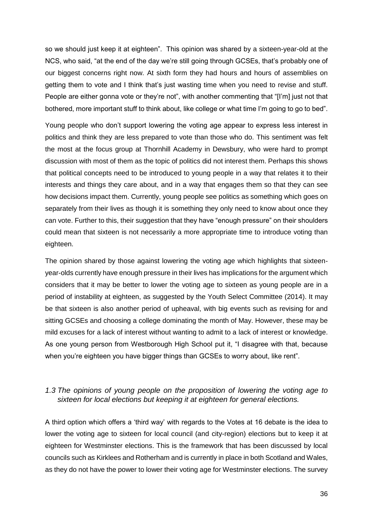so we should just keep it at eighteen". This opinion was shared by a sixteen-year-old at the NCS, who said, "at the end of the day we're still going through GCSEs, that's probably one of our biggest concerns right now. At sixth form they had hours and hours of assemblies on getting them to vote and I think that's just wasting time when you need to revise and stuff. People are either gonna vote or they're not", with another commenting that "[I'm] just not that bothered, more important stuff to think about, like college or what time I'm going to go to bed".

Young people who don't support lowering the voting age appear to express less interest in politics and think they are less prepared to vote than those who do. This sentiment was felt the most at the focus group at Thornhill Academy in Dewsbury, who were hard to prompt discussion with most of them as the topic of politics did not interest them. Perhaps this shows that political concepts need to be introduced to young people in a way that relates it to their interests and things they care about, and in a way that engages them so that they can see how decisions impact them. Currently, young people see politics as something which goes on separately from their lives as though it is something they only need to know about once they can vote. Further to this, their suggestion that they have "enough pressure" on their shoulders could mean that sixteen is not necessarily a more appropriate time to introduce voting than eighteen.

The opinion shared by those against lowering the voting age which highlights that sixteenyear-olds currently have enough pressure in their lives has implications for the argument which considers that it may be better to lower the voting age to sixteen as young people are in a period of instability at eighteen, as suggested by the Youth Select Committee (2014). It may be that sixteen is also another period of upheaval, with big events such as revising for and sitting GCSEs and choosing a college dominating the month of May. However, these may be mild excuses for a lack of interest without wanting to admit to a lack of interest or knowledge. As one young person from Westborough High School put it, "I disagree with that, because when you're eighteen you have bigger things than GCSEs to worry about, like rent".

## <span id="page-36-0"></span>*1.3 The opinions of young people on the proposition of lowering the voting age to sixteen for local elections but keeping it at eighteen for general elections.*

A third option which offers a 'third way' with regards to the Votes at 16 debate is the idea to lower the voting age to sixteen for local council (and city-region) elections but to keep it at eighteen for Westminster elections. This is the framework that has been discussed by local councils such as Kirklees and Rotherham and is currently in place in both Scotland and Wales, as they do not have the power to lower their voting age for Westminster elections. The survey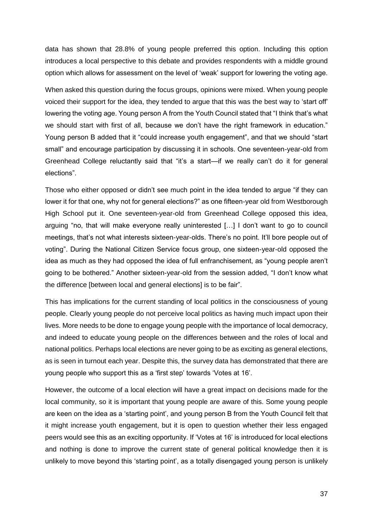data has shown that 28.8% of young people preferred this option. Including this option introduces a local perspective to this debate and provides respondents with a middle ground option which allows for assessment on the level of 'weak' support for lowering the voting age.

When asked this question during the focus groups, opinions were mixed. When young people voiced their support for the idea, they tended to argue that this was the best way to 'start off' lowering the voting age. Young person A from the Youth Council stated that "I think that's what we should start with first of all, because we don't have the right framework in education." Young person B added that it "could increase youth engagement", and that we should "start small" and encourage participation by discussing it in schools. One seventeen-year-old from Greenhead College reluctantly said that "it's a start—if we really can't do it for general elections".

Those who either opposed or didn't see much point in the idea tended to argue "if they can lower it for that one, why not for general elections?" as one fifteen-year old from Westborough High School put it. One seventeen-year-old from Greenhead College opposed this idea, arguing "no, that will make everyone really uninterested […] I don't want to go to council meetings, that's not what interests sixteen-year-olds. There's no point. It'll bore people out of voting". During the National Citizen Service focus group, one sixteen-year-old opposed the idea as much as they had opposed the idea of full enfranchisement, as "young people aren't going to be bothered." Another sixteen-year-old from the session added, "I don't know what the difference [between local and general elections] is to be fair".

This has implications for the current standing of local politics in the consciousness of young people. Clearly young people do not perceive local politics as having much impact upon their lives. More needs to be done to engage young people with the importance of local democracy, and indeed to educate young people on the differences between and the roles of local and national politics. Perhaps local elections are never going to be as exciting as general elections, as is seen in turnout each year. Despite this, the survey data has demonstrated that there are young people who support this as a 'first step' towards 'Votes at 16'.

However, the outcome of a local election will have a great impact on decisions made for the local community, so it is important that young people are aware of this. Some young people are keen on the idea as a 'starting point', and young person B from the Youth Council felt that it might increase youth engagement, but it is open to question whether their less engaged peers would see this as an exciting opportunity. If 'Votes at 16' is introduced for local elections and nothing is done to improve the current state of general political knowledge then it is unlikely to move beyond this 'starting point', as a totally disengaged young person is unlikely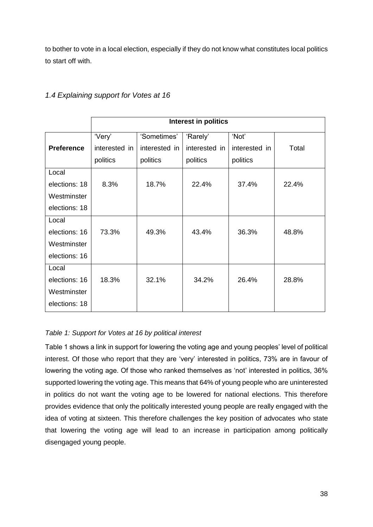to bother to vote in a local election, especially if they do not know what constitutes local politics to start off with.

|                   | Interest in politics |               |               |               |       |
|-------------------|----------------------|---------------|---------------|---------------|-------|
|                   | 'Very'               | 'Sometimes'   | 'Rarely'      | 'Not'         |       |
| <b>Preference</b> | interested in        | interested in | interested in | interested in | Total |
|                   | politics             | politics      | politics      | politics      |       |
| Local             |                      |               |               |               |       |
| elections: 18     | 8.3%                 | 18.7%         | 22.4%         | 37.4%         | 22.4% |
| Westminster       |                      |               |               |               |       |
| elections: 18     |                      |               |               |               |       |
| Local             |                      |               |               |               |       |
| elections: 16     | 73.3%                | 49.3%         | 43.4%         | 36.3%         | 48.8% |
| Westminster       |                      |               |               |               |       |
| elections: 16     |                      |               |               |               |       |
| Local             |                      |               |               |               |       |
| elections: 16     | 18.3%                | 32.1%         | 34.2%         | 26.4%         | 28.8% |
| Westminster       |                      |               |               |               |       |
| elections: 18     |                      |               |               |               |       |

## <span id="page-38-0"></span>*1.4 Explaining support for Votes at 16*

## <span id="page-38-1"></span>*Table 1: Support for Votes at 16 by political interest*

Table 1 shows a link in support for lowering the voting age and young peoples' level of political interest. Of those who report that they are 'very' interested in politics, 73% are in favour of lowering the voting age. Of those who ranked themselves as 'not' interested in politics, 36% supported lowering the voting age. This means that 64% of young people who are uninterested in politics do not want the voting age to be lowered for national elections. This therefore provides evidence that only the politically interested young people are really engaged with the idea of voting at sixteen. This therefore challenges the key position of advocates who state that lowering the voting age will lead to an increase in participation among politically disengaged young people.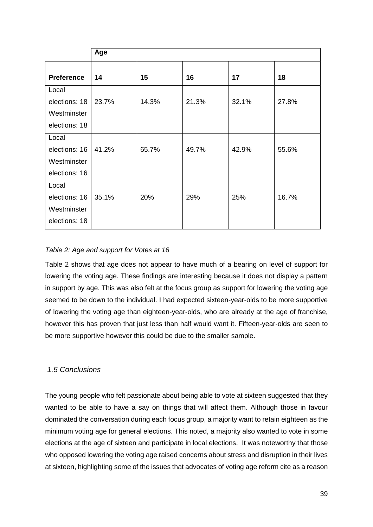|                   | Age   |       |       |       |       |
|-------------------|-------|-------|-------|-------|-------|
| <b>Preference</b> | 14    | 15    | 16    | 17    | 18    |
| Local             |       |       |       |       |       |
| elections: 18     | 23.7% | 14.3% | 21.3% | 32.1% | 27.8% |
| Westminster       |       |       |       |       |       |
| elections: 18     |       |       |       |       |       |
| Local             |       |       |       |       |       |
| elections: 16     | 41.2% | 65.7% | 49.7% | 42.9% | 55.6% |
| Westminster       |       |       |       |       |       |
| elections: 16     |       |       |       |       |       |
| Local             |       |       |       |       |       |
| elections: 16     | 35.1% | 20%   | 29%   | 25%   | 16.7% |
| Westminster       |       |       |       |       |       |
| elections: 18     |       |       |       |       |       |

## <span id="page-39-1"></span>*Table 2: Age and support for Votes at 16*

Table 2 shows that age does not appear to have much of a bearing on level of support for lowering the voting age. These findings are interesting because it does not display a pattern in support by age. This was also felt at the focus group as support for lowering the voting age seemed to be down to the individual. I had expected sixteen-year-olds to be more supportive of lowering the voting age than eighteen-year-olds, who are already at the age of franchise, however this has proven that just less than half would want it. Fifteen-year-olds are seen to be more supportive however this could be due to the smaller sample.

## <span id="page-39-0"></span>*1.5 Conclusions*

The young people who felt passionate about being able to vote at sixteen suggested that they wanted to be able to have a say on things that will affect them. Although those in favour dominated the conversation during each focus group, a majority want to retain eighteen as the minimum voting age for general elections. This noted, a majority also wanted to vote in some elections at the age of sixteen and participate in local elections. It was noteworthy that those who opposed lowering the voting age raised concerns about stress and disruption in their lives at sixteen, highlighting some of the issues that advocates of voting age reform cite as a reason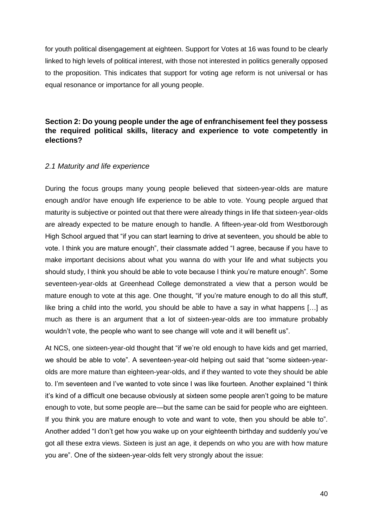for youth political disengagement at eighteen. Support for Votes at 16 was found to be clearly linked to high levels of political interest, with those not interested in politics generally opposed to the proposition. This indicates that support for voting age reform is not universal or has equal resonance or importance for all young people.

## <span id="page-40-0"></span>**Section 2: Do young people under the age of enfranchisement feel they possess the required political skills, literacy and experience to vote competently in elections?**

#### <span id="page-40-1"></span>*2.1 Maturity and life experience*

During the focus groups many young people believed that sixteen-year-olds are mature enough and/or have enough life experience to be able to vote. Young people argued that maturity is subjective or pointed out that there were already things in life that sixteen-year-olds are already expected to be mature enough to handle. A fifteen-year-old from Westborough High School argued that "if you can start learning to drive at seventeen, you should be able to vote. I think you are mature enough", their classmate added "I agree, because if you have to make important decisions about what you wanna do with your life and what subjects you should study, I think you should be able to vote because I think you're mature enough". Some seventeen-year-olds at Greenhead College demonstrated a view that a person would be mature enough to vote at this age. One thought, "if you're mature enough to do all this stuff, like bring a child into the world, you should be able to have a say in what happens […] as much as there is an argument that a lot of sixteen-year-olds are too immature probably wouldn't vote, the people who want to see change will vote and it will benefit us".

At NCS, one sixteen-year-old thought that "if we're old enough to have kids and get married, we should be able to vote". A seventeen-year-old helping out said that "some sixteen-yearolds are more mature than eighteen-year-olds, and if they wanted to vote they should be able to. I'm seventeen and I've wanted to vote since I was like fourteen. Another explained "I think it's kind of a difficult one because obviously at sixteen some people aren't going to be mature enough to vote, but some people are—but the same can be said for people who are eighteen. If you think you are mature enough to vote and want to vote, then you should be able to". Another added "I don't get how you wake up on your eighteenth birthday and suddenly you've got all these extra views. Sixteen is just an age, it depends on who you are with how mature you are". One of the sixteen-year-olds felt very strongly about the issue: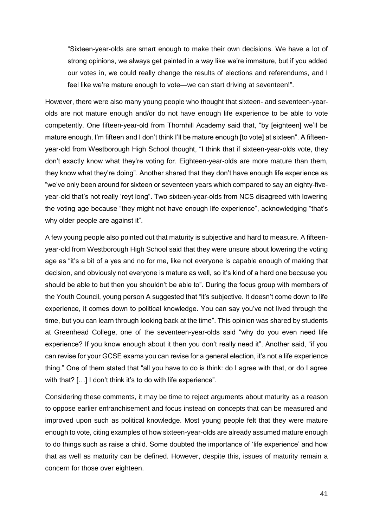"Sixteen-year-olds are smart enough to make their own decisions. We have a lot of strong opinions, we always get painted in a way like we're immature, but if you added our votes in, we could really change the results of elections and referendums, and I feel like we're mature enough to vote—we can start driving at seventeen!".

However, there were also many young people who thought that sixteen- and seventeen-yearolds are not mature enough and/or do not have enough life experience to be able to vote competently. One fifteen-year-old from Thornhill Academy said that, "by [eighteen] we'll be mature enough, I'm fifteen and I don't think I'll be mature enough [to vote] at sixteen". A fifteenyear-old from Westborough High School thought, "I think that if sixteen-year-olds vote, they don't exactly know what they're voting for. Eighteen-year-olds are more mature than them, they know what they're doing". Another shared that they don't have enough life experience as "we've only been around for sixteen or seventeen years which compared to say an eighty-fiveyear-old that's not really 'reyt long". Two sixteen-year-olds from NCS disagreed with lowering the voting age because "they might not have enough life experience", acknowledging "that's why older people are against it".

A few young people also pointed out that maturity is subjective and hard to measure. A fifteenyear-old from Westborough High School said that they were unsure about lowering the voting age as "it's a bit of a yes and no for me, like not everyone is capable enough of making that decision, and obviously not everyone is mature as well, so it's kind of a hard one because you should be able to but then you shouldn't be able to". During the focus group with members of the Youth Council, young person A suggested that "it's subjective. It doesn't come down to life experience, it comes down to political knowledge. You can say you've not lived through the time, but you can learn through looking back at the time". This opinion was shared by students at Greenhead College, one of the seventeen-year-olds said "why do you even need life experience? If you know enough about it then you don't really need it". Another said, "if you can revise for your GCSE exams you can revise for a general election, it's not a life experience thing." One of them stated that "all you have to do is think: do I agree with that, or do I agree with that? [...] I don't think it's to do with life experience".

Considering these comments, it may be time to reject arguments about maturity as a reason to oppose earlier enfranchisement and focus instead on concepts that can be measured and improved upon such as political knowledge. Most young people felt that they were mature enough to vote, citing examples of how sixteen-year-olds are already assumed mature enough to do things such as raise a child. Some doubted the importance of 'life experience' and how that as well as maturity can be defined. However, despite this, issues of maturity remain a concern for those over eighteen.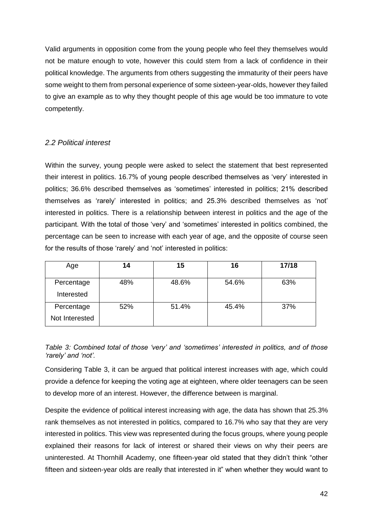Valid arguments in opposition come from the young people who feel they themselves would not be mature enough to vote, however this could stem from a lack of confidence in their political knowledge. The arguments from others suggesting the immaturity of their peers have some weight to them from personal experience of some sixteen-year-olds, however they failed to give an example as to why they thought people of this age would be too immature to vote competently.

## <span id="page-42-0"></span>*2.2 Political interest*

Within the survey, young people were asked to select the statement that best represented their interest in politics. 16.7% of young people described themselves as 'very' interested in politics; 36.6% described themselves as 'sometimes' interested in politics; 21% described themselves as 'rarely' interested in politics; and 25.3% described themselves as 'not' interested in politics. There is a relationship between interest in politics and the age of the participant. With the total of those 'very' and 'sometimes' interested in politics combined, the percentage can be seen to increase with each year of age, and the opposite of course seen for the results of those 'rarely' and 'not' interested in politics:

| Age            | 14  | 15    | 16    | 17/18 |
|----------------|-----|-------|-------|-------|
| Percentage     | 48% | 48.6% | 54.6% | 63%   |
|                |     |       |       |       |
| Interested     |     |       |       |       |
| Percentage     | 52% | 51.4% | 45.4% | 37%   |
| Not Interested |     |       |       |       |

<span id="page-42-1"></span>*Table 3: Combined total of those 'very' and 'sometimes' interested in politics, and of those 'rarely' and 'not'.*

Considering Table 3, it can be argued that political interest increases with age, which could provide a defence for keeping the voting age at eighteen, where older teenagers can be seen to develop more of an interest. However, the difference between is marginal.

Despite the evidence of political interest increasing with age, the data has shown that 25.3% rank themselves as not interested in politics, compared to 16.7% who say that they are very interested in politics. This view was represented during the focus groups, where young people explained their reasons for lack of interest or shared their views on why their peers are uninterested. At Thornhill Academy, one fifteen-year old stated that they didn't think "other fifteen and sixteen-year olds are really that interested in it" when whether they would want to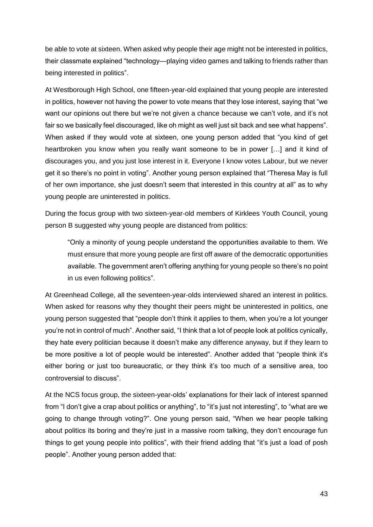be able to vote at sixteen. When asked why people their age might not be interested in politics, their classmate explained "technology—playing video games and talking to friends rather than being interested in politics".

At Westborough High School, one fifteen-year-old explained that young people are interested in politics, however not having the power to vote means that they lose interest, saying that "we want our opinions out there but we're not given a chance because we can't vote, and it's not fair so we basically feel discouraged, like oh might as well just sit back and see what happens". When asked if they would vote at sixteen, one young person added that "you kind of get heartbroken you know when you really want someone to be in power […] and it kind of discourages you, and you just lose interest in it. Everyone I know votes Labour, but we never get it so there's no point in voting". Another young person explained that "Theresa May is full of her own importance, she just doesn't seem that interested in this country at all" as to why young people are uninterested in politics.

During the focus group with two sixteen-year-old members of Kirklees Youth Council, young person B suggested why young people are distanced from politics:

"Only a minority of young people understand the opportunities available to them. We must ensure that more young people are first off aware of the democratic opportunities available. The government aren't offering anything for young people so there's no point in us even following politics".

At Greenhead College, all the seventeen-year-olds interviewed shared an interest in politics. When asked for reasons why they thought their peers might be uninterested in politics, one young person suggested that "people don't think it applies to them, when you're a lot younger you're not in control of much". Another said, "I think that a lot of people look at politics cynically, they hate every politician because it doesn't make any difference anyway, but if they learn to be more positive a lot of people would be interested". Another added that "people think it's either boring or just too bureaucratic, or they think it's too much of a sensitive area, too controversial to discuss".

At the NCS focus group, the sixteen-year-olds' explanations for their lack of interest spanned from "I don't give a crap about politics or anything", to "it's just not interesting", to "what are we going to change through voting?". One young person said, "When we hear people talking about politics its boring and they're just in a massive room talking, they don't encourage fun things to get young people into politics", with their friend adding that "it's just a load of posh people". Another young person added that: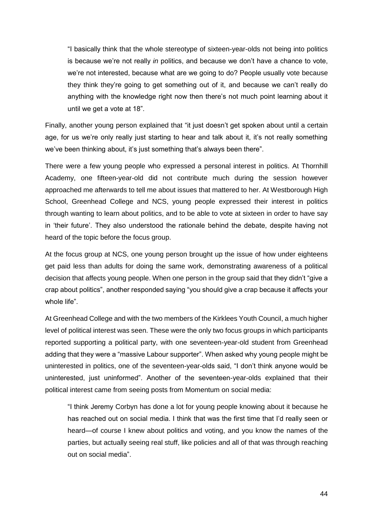"I basically think that the whole stereotype of sixteen-year-olds not being into politics is because we're not really *in* politics, and because we don't have a chance to vote, we're not interested, because what are we going to do? People usually vote because they think they're going to get something out of it, and because we can't really do anything with the knowledge right now then there's not much point learning about it until we get a vote at 18".

Finally, another young person explained that "it just doesn't get spoken about until a certain age, for us we're only really just starting to hear and talk about it, it's not really something we've been thinking about, it's just something that's always been there".

There were a few young people who expressed a personal interest in politics. At Thornhill Academy, one fifteen-year-old did not contribute much during the session however approached me afterwards to tell me about issues that mattered to her. At Westborough High School, Greenhead College and NCS, young people expressed their interest in politics through wanting to learn about politics, and to be able to vote at sixteen in order to have say in 'their future'. They also understood the rationale behind the debate, despite having not heard of the topic before the focus group.

At the focus group at NCS, one young person brought up the issue of how under eighteens get paid less than adults for doing the same work, demonstrating awareness of a political decision that affects young people. When one person in the group said that they didn't "give a crap about politics", another responded saying "you should give a crap because it affects your whole life".

At Greenhead College and with the two members of the Kirklees Youth Council, a much higher level of political interest was seen. These were the only two focus groups in which participants reported supporting a political party, with one seventeen-year-old student from Greenhead adding that they were a "massive Labour supporter". When asked why young people might be uninterested in politics, one of the seventeen-year-olds said, "I don't think anyone would be uninterested, just uninformed". Another of the seventeen-year-olds explained that their political interest came from seeing posts from Momentum on social media:

"I think Jeremy Corbyn has done a lot for young people knowing about it because he has reached out on social media. I think that was the first time that I'd really seen or heard—of course I knew about politics and voting, and you know the names of the parties, but actually seeing real stuff, like policies and all of that was through reaching out on social media".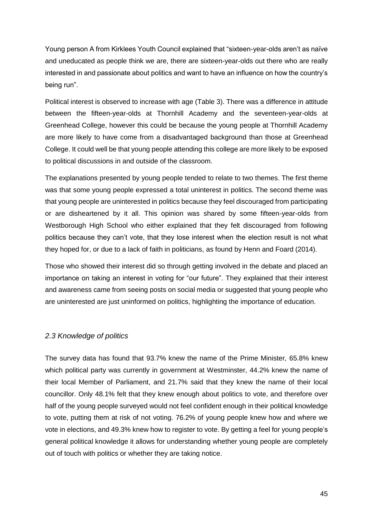Young person A from Kirklees Youth Council explained that "sixteen-year-olds aren't as naïve and uneducated as people think we are, there are sixteen-year-olds out there who are really interested in and passionate about politics and want to have an influence on how the country's being run".

Political interest is observed to increase with age (Table 3). There was a difference in attitude between the fifteen-year-olds at Thornhill Academy and the seventeen-year-olds at Greenhead College, however this could be because the young people at Thornhill Academy are more likely to have come from a disadvantaged background than those at Greenhead College. It could well be that young people attending this college are more likely to be exposed to political discussions in and outside of the classroom.

The explanations presented by young people tended to relate to two themes. The first theme was that some young people expressed a total uninterest in politics. The second theme was that young people are uninterested in politics because they feel discouraged from participating or are disheartened by it all. This opinion was shared by some fifteen-year-olds from Westborough High School who either explained that they felt discouraged from following politics because they can't vote, that they lose interest when the election result is not what they hoped for, or due to a lack of faith in politicians, as found by Henn and Foard (2014).

Those who showed their interest did so through getting involved in the debate and placed an importance on taking an interest in voting for "our future". They explained that their interest and awareness came from seeing posts on social media or suggested that young people who are uninterested are just uninformed on politics, highlighting the importance of education.

## <span id="page-45-0"></span>*2.3 Knowledge of politics*

The survey data has found that 93.7% knew the name of the Prime Minister, 65.8% knew which political party was currently in government at Westminster, 44.2% knew the name of their local Member of Parliament, and 21.7% said that they knew the name of their local councillor. Only 48.1% felt that they knew enough about politics to vote, and therefore over half of the young people surveyed would not feel confident enough in their political knowledge to vote, putting them at risk of not voting. 76.2% of young people knew how and where we vote in elections, and 49.3% knew how to register to vote. By getting a feel for young people's general political knowledge it allows for understanding whether young people are completely out of touch with politics or whether they are taking notice.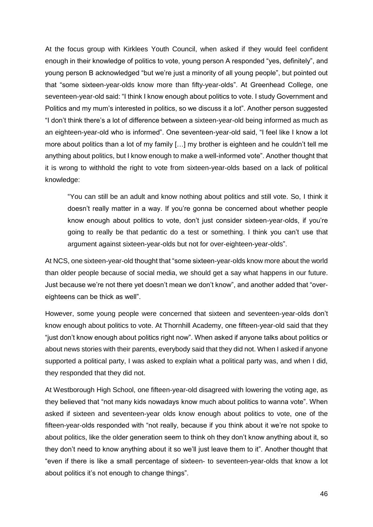At the focus group with Kirklees Youth Council, when asked if they would feel confident enough in their knowledge of politics to vote, young person A responded "yes, definitely", and young person B acknowledged "but we're just a minority of all young people", but pointed out that "some sixteen-year-olds know more than fifty-year-olds". At Greenhead College, one seventeen-year-old said: "I think I know enough about politics to vote. I study Government and Politics and my mum's interested in politics, so we discuss it a lot". Another person suggested "I don't think there's a lot of difference between a sixteen-year-old being informed as much as an eighteen-year-old who is informed". One seventeen-year-old said, "I feel like I know a lot more about politics than a lot of my family […] my brother is eighteen and he couldn't tell me anything about politics, but I know enough to make a well-informed vote". Another thought that it is wrong to withhold the right to vote from sixteen-year-olds based on a lack of political knowledge:

"You can still be an adult and know nothing about politics and still vote. So, I think it doesn't really matter in a way. If you're gonna be concerned about whether people know enough about politics to vote, don't just consider sixteen-year-olds, if you're going to really be that pedantic do a test or something. I think you can't use that argument against sixteen-year-olds but not for over-eighteen-year-olds".

At NCS, one sixteen-year-old thought that "some sixteen-year-olds know more about the world than older people because of social media, we should get a say what happens in our future. Just because we're not there yet doesn't mean we don't know", and another added that "overeighteens can be thick as well".

However, some young people were concerned that sixteen and seventeen-year-olds don't know enough about politics to vote. At Thornhill Academy, one fifteen-year-old said that they "just don't know enough about politics right now". When asked if anyone talks about politics or about news stories with their parents, everybody said that they did not. When I asked if anyone supported a political party, I was asked to explain what a political party was, and when I did, they responded that they did not.

At Westborough High School, one fifteen-year-old disagreed with lowering the voting age, as they believed that "not many kids nowadays know much about politics to wanna vote". When asked if sixteen and seventeen-year olds know enough about politics to vote, one of the fifteen-year-olds responded with "not really, because if you think about it we're not spoke to about politics, like the older generation seem to think oh they don't know anything about it, so they don't need to know anything about it so we'll just leave them to it". Another thought that "even if there is like a small percentage of sixteen- to seventeen-year-olds that know a lot about politics it's not enough to change things".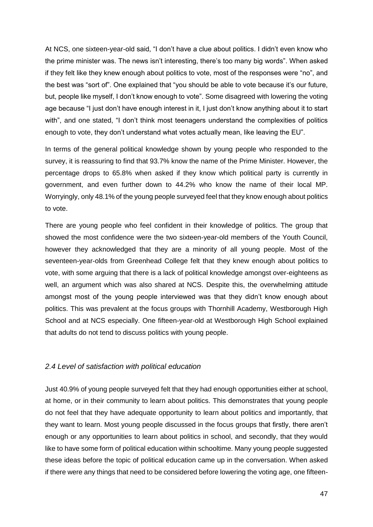At NCS, one sixteen-year-old said, "I don't have a clue about politics. I didn't even know who the prime minister was. The news isn't interesting, there's too many big words". When asked if they felt like they knew enough about politics to vote, most of the responses were "no", and the best was "sort of". One explained that "you should be able to vote because it's our future, but, people like myself, I don't know enough to vote". Some disagreed with lowering the voting age because "I just don't have enough interest in it, I just don't know anything about it to start with", and one stated, "I don't think most teenagers understand the complexities of politics enough to vote, they don't understand what votes actually mean, like leaving the EU".

In terms of the general political knowledge shown by young people who responded to the survey, it is reassuring to find that 93.7% know the name of the Prime Minister. However, the percentage drops to 65.8% when asked if they know which political party is currently in government, and even further down to 44.2% who know the name of their local MP. Worryingly, only 48.1% of the young people surveyed feel that they know enough about politics to vote.

There are young people who feel confident in their knowledge of politics. The group that showed the most confidence were the two sixteen-year-old members of the Youth Council, however they acknowledged that they are a minority of all young people. Most of the seventeen-year-olds from Greenhead College felt that they knew enough about politics to vote, with some arguing that there is a lack of political knowledge amongst over-eighteens as well, an argument which was also shared at NCS. Despite this, the overwhelming attitude amongst most of the young people interviewed was that they didn't know enough about politics. This was prevalent at the focus groups with Thornhill Academy, Westborough High School and at NCS especially. One fifteen-year-old at Westborough High School explained that adults do not tend to discuss politics with young people.

#### <span id="page-47-0"></span>*2.4 Level of satisfaction with political education*

Just 40.9% of young people surveyed felt that they had enough opportunities either at school, at home, or in their community to learn about politics. This demonstrates that young people do not feel that they have adequate opportunity to learn about politics and importantly, that they want to learn. Most young people discussed in the focus groups that firstly, there aren't enough or any opportunities to learn about politics in school, and secondly, that they would like to have some form of political education within schooltime. Many young people suggested these ideas before the topic of political education came up in the conversation. When asked if there were any things that need to be considered before lowering the voting age, one fifteen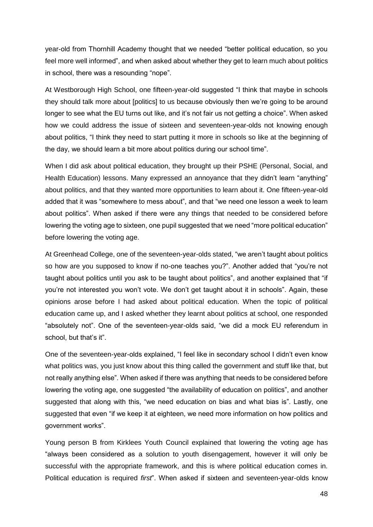year-old from Thornhill Academy thought that we needed "better political education, so you feel more well informed", and when asked about whether they get to learn much about politics in school, there was a resounding "nope".

At Westborough High School, one fifteen-year-old suggested "I think that maybe in schools they should talk more about [politics] to us because obviously then we're going to be around longer to see what the EU turns out like, and it's not fair us not getting a choice". When asked how we could address the issue of sixteen and seventeen-year-olds not knowing enough about politics, "I think they need to start putting it more in schools so like at the beginning of the day, we should learn a bit more about politics during our school time".

When I did ask about political education, they brought up their PSHE (Personal, Social, and Health Education) lessons. Many expressed an annoyance that they didn't learn "anything" about politics, and that they wanted more opportunities to learn about it. One fifteen-year-old added that it was "somewhere to mess about", and that "we need one lesson a week to learn about politics". When asked if there were any things that needed to be considered before lowering the voting age to sixteen, one pupil suggested that we need "more political education" before lowering the voting age.

At Greenhead College, one of the seventeen-year-olds stated, "we aren't taught about politics so how are you supposed to know if no-one teaches you?". Another added that "you're not taught about politics until you ask to be taught about politics", and another explained that "if you're not interested you won't vote. We don't get taught about it in schools". Again, these opinions arose before I had asked about political education. When the topic of political education came up, and I asked whether they learnt about politics at school, one responded "absolutely not". One of the seventeen-year-olds said, "we did a mock EU referendum in school, but that's it".

One of the seventeen-year-olds explained, "I feel like in secondary school I didn't even know what politics was, you just know about this thing called the government and stuff like that, but not really anything else". When asked if there was anything that needs to be considered before lowering the voting age, one suggested "the availability of education on politics", and another suggested that along with this, "we need education on bias and what bias is". Lastly, one suggested that even "if we keep it at eighteen, we need more information on how politics and government works".

Young person B from Kirklees Youth Council explained that lowering the voting age has "always been considered as a solution to youth disengagement, however it will only be successful with the appropriate framework, and this is where political education comes in. Political education is required *first*". When asked if sixteen and seventeen-year-olds know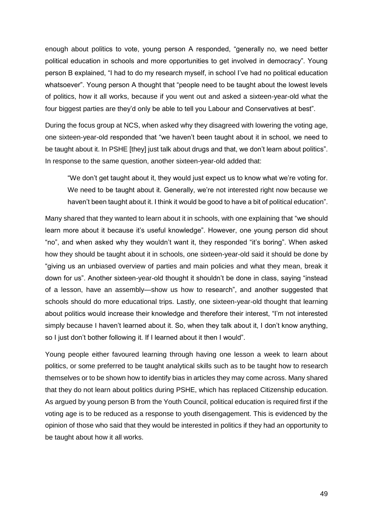enough about politics to vote, young person A responded, "generally no, we need better political education in schools and more opportunities to get involved in democracy". Young person B explained, "I had to do my research myself, in school I've had no political education whatsoever". Young person A thought that "people need to be taught about the lowest levels of politics, how it all works, because if you went out and asked a sixteen-year-old what the four biggest parties are they'd only be able to tell you Labour and Conservatives at best".

During the focus group at NCS, when asked why they disagreed with lowering the voting age, one sixteen-year-old responded that "we haven't been taught about it in school, we need to be taught about it. In PSHE [they] just talk about drugs and that, we don't learn about politics". In response to the same question, another sixteen-year-old added that:

"We don't get taught about it, they would just expect us to know what we're voting for. We need to be taught about it. Generally, we're not interested right now because we haven't been taught about it. I think it would be good to have a bit of political education".

Many shared that they wanted to learn about it in schools, with one explaining that "we should learn more about it because it's useful knowledge". However, one young person did shout "no", and when asked why they wouldn't want it, they responded "it's boring". When asked how they should be taught about it in schools, one sixteen-year-old said it should be done by "giving us an unbiased overview of parties and main policies and what they mean, break it down for us". Another sixteen-year-old thought it shouldn't be done in class, saying "instead of a lesson, have an assembly—show us how to research", and another suggested that schools should do more educational trips. Lastly, one sixteen-year-old thought that learning about politics would increase their knowledge and therefore their interest, "I'm not interested simply because I haven't learned about it. So, when they talk about it, I don't know anything, so I just don't bother following it. If I learned about it then I would".

Young people either favoured learning through having one lesson a week to learn about politics, or some preferred to be taught analytical skills such as to be taught how to research themselves or to be shown how to identify bias in articles they may come across. Many shared that they do not learn about politics during PSHE, which has replaced Citizenship education. As argued by young person B from the Youth Council, political education is required first if the voting age is to be reduced as a response to youth disengagement. This is evidenced by the opinion of those who said that they would be interested in politics if they had an opportunity to be taught about how it all works.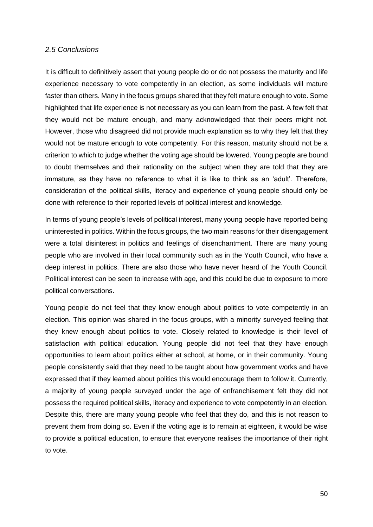#### <span id="page-50-0"></span>*2.5 Conclusions*

It is difficult to definitively assert that young people do or do not possess the maturity and life experience necessary to vote competently in an election, as some individuals will mature faster than others. Many in the focus groups shared that they felt mature enough to vote. Some highlighted that life experience is not necessary as you can learn from the past. A few felt that they would not be mature enough, and many acknowledged that their peers might not. However, those who disagreed did not provide much explanation as to why they felt that they would not be mature enough to vote competently. For this reason, maturity should not be a criterion to which to judge whether the voting age should be lowered. Young people are bound to doubt themselves and their rationality on the subject when they are told that they are immature, as they have no reference to what it is like to think as an 'adult'. Therefore, consideration of the political skills, literacy and experience of young people should only be done with reference to their reported levels of political interest and knowledge.

In terms of young people's levels of political interest, many young people have reported being uninterested in politics. Within the focus groups, the two main reasons for their disengagement were a total disinterest in politics and feelings of disenchantment. There are many young people who are involved in their local community such as in the Youth Council, who have a deep interest in politics. There are also those who have never heard of the Youth Council. Political interest can be seen to increase with age, and this could be due to exposure to more political conversations.

Young people do not feel that they know enough about politics to vote competently in an election. This opinion was shared in the focus groups, with a minority surveyed feeling that they knew enough about politics to vote. Closely related to knowledge is their level of satisfaction with political education. Young people did not feel that they have enough opportunities to learn about politics either at school, at home, or in their community. Young people consistently said that they need to be taught about how government works and have expressed that if they learned about politics this would encourage them to follow it. Currently, a majority of young people surveyed under the age of enfranchisement felt they did not possess the required political skills, literacy and experience to vote competently in an election. Despite this, there are many young people who feel that they do, and this is not reason to prevent them from doing so. Even if the voting age is to remain at eighteen, it would be wise to provide a political education, to ensure that everyone realises the importance of their right to vote.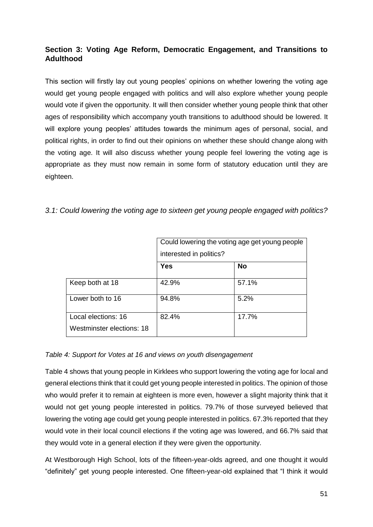# <span id="page-51-0"></span>**Section 3: Voting Age Reform, Democratic Engagement, and Transitions to Adulthood**

This section will firstly lay out young peoples' opinions on whether lowering the voting age would get young people engaged with politics and will also explore whether young people would vote if given the opportunity. It will then consider whether young people think that other ages of responsibility which accompany youth transitions to adulthood should be lowered. It will explore young peoples' attitudes towards the minimum ages of personal, social, and political rights, in order to find out their opinions on whether these should change along with the voting age. It will also discuss whether young people feel lowering the voting age is appropriate as they must now remain in some form of statutory education until they are eighteen.

|                                                  | Could lowering the voting age get young people<br>interested in politics? |           |  |
|--------------------------------------------------|---------------------------------------------------------------------------|-----------|--|
|                                                  | <b>Yes</b>                                                                | <b>No</b> |  |
| Keep both at 18                                  | 42.9%                                                                     | 57.1%     |  |
| Lower both to 16                                 | 94.8%                                                                     | 5.2%      |  |
| Local elections: 16<br>Westminster elections: 18 | 82.4%                                                                     | 17.7%     |  |

<span id="page-51-1"></span>*3.1: Could lowering the voting age to sixteen get young people engaged with politics?*

# *Table 4: Support for Votes at 16 and views on youth disengagement*

Table 4 shows that young people in Kirklees who support lowering the voting age for local and general elections think that it could get young people interested in politics. The opinion of those who would prefer it to remain at eighteen is more even, however a slight majority think that it would not get young people interested in politics. 79.7% of those surveyed believed that lowering the voting age could get young people interested in politics. 67.3% reported that they would vote in their local council elections if the voting age was lowered, and 66.7% said that they would vote in a general election if they were given the opportunity.

At Westborough High School, lots of the fifteen-year-olds agreed, and one thought it would "definitely" get young people interested. One fifteen-year-old explained that "I think it would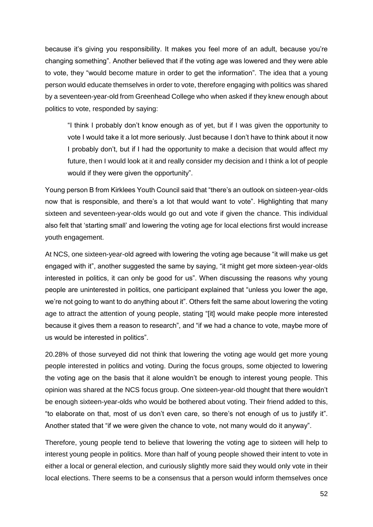because it's giving you responsibility. It makes you feel more of an adult, because you're changing something". Another believed that if the voting age was lowered and they were able to vote, they "would become mature in order to get the information". The idea that a young person would educate themselves in order to vote, therefore engaging with politics was shared by a seventeen-year-old from Greenhead College who when asked if they knew enough about politics to vote, responded by saying:

"I think I probably don't know enough as of yet, but if I was given the opportunity to vote I would take it a lot more seriously. Just because I don't have to think about it now I probably don't, but if I had the opportunity to make a decision that would affect my future, then I would look at it and really consider my decision and I think a lot of people would if they were given the opportunity".

Young person B from Kirklees Youth Council said that "there's an outlook on sixteen-year-olds now that is responsible, and there's a lot that would want to vote". Highlighting that many sixteen and seventeen-year-olds would go out and vote if given the chance. This individual also felt that 'starting small' and lowering the voting age for local elections first would increase youth engagement.

At NCS, one sixteen-year-old agreed with lowering the voting age because "it will make us get engaged with it", another suggested the same by saying, "it might get more sixteen-year-olds interested in politics, it can only be good for us". When discussing the reasons why young people are uninterested in politics, one participant explained that "unless you lower the age, we're not going to want to do anything about it". Others felt the same about lowering the voting age to attract the attention of young people, stating "[it] would make people more interested because it gives them a reason to research", and "if we had a chance to vote, maybe more of us would be interested in politics".

20.28% of those surveyed did not think that lowering the voting age would get more young people interested in politics and voting. During the focus groups, some objected to lowering the voting age on the basis that it alone wouldn't be enough to interest young people. This opinion was shared at the NCS focus group. One sixteen-year-old thought that there wouldn't be enough sixteen-year-olds who would be bothered about voting. Their friend added to this, "to elaborate on that, most of us don't even care, so there's not enough of us to justify it". Another stated that "if we were given the chance to vote, not many would do it anyway".

Therefore, young people tend to believe that lowering the voting age to sixteen will help to interest young people in politics. More than half of young people showed their intent to vote in either a local or general election, and curiously slightly more said they would only vote in their local elections. There seems to be a consensus that a person would inform themselves once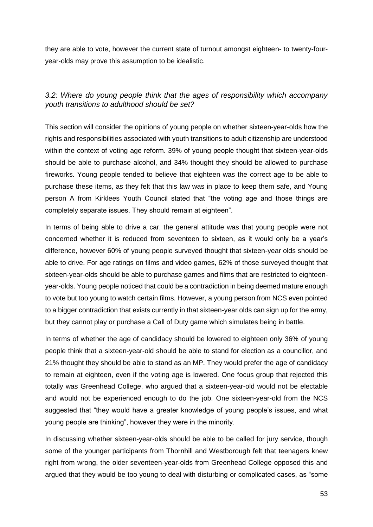they are able to vote, however the current state of turnout amongst eighteen- to twenty-fouryear-olds may prove this assumption to be idealistic.

## <span id="page-53-0"></span>*3.2: Where do young people think that the ages of responsibility which accompany youth transitions to adulthood should be set?*

This section will consider the opinions of young people on whether sixteen-year-olds how the rights and responsibilities associated with youth transitions to adult citizenship are understood within the context of voting age reform. 39% of young people thought that sixteen-year-olds should be able to purchase alcohol, and 34% thought they should be allowed to purchase fireworks. Young people tended to believe that eighteen was the correct age to be able to purchase these items, as they felt that this law was in place to keep them safe, and Young person A from Kirklees Youth Council stated that "the voting age and those things are completely separate issues. They should remain at eighteen".

In terms of being able to drive a car, the general attitude was that young people were not concerned whether it is reduced from seventeen to sixteen, as it would only be a year's difference, however 60% of young people surveyed thought that sixteen-year olds should be able to drive. For age ratings on films and video games, 62% of those surveyed thought that sixteen-year-olds should be able to purchase games and films that are restricted to eighteenyear-olds. Young people noticed that could be a contradiction in being deemed mature enough to vote but too young to watch certain films. However, a young person from NCS even pointed to a bigger contradiction that exists currently in that sixteen-year olds can sign up for the army, but they cannot play or purchase a Call of Duty game which simulates being in battle.

In terms of whether the age of candidacy should be lowered to eighteen only 36% of young people think that a sixteen-year-old should be able to stand for election as a councillor, and 21% thought they should be able to stand as an MP. They would prefer the age of candidacy to remain at eighteen, even if the voting age is lowered. One focus group that rejected this totally was Greenhead College, who argued that a sixteen-year-old would not be electable and would not be experienced enough to do the job. One sixteen-year-old from the NCS suggested that "they would have a greater knowledge of young people's issues, and what young people are thinking", however they were in the minority.

In discussing whether sixteen-year-olds should be able to be called for jury service, though some of the younger participants from Thornhill and Westborough felt that teenagers knew right from wrong, the older seventeen-year-olds from Greenhead College opposed this and argued that they would be too young to deal with disturbing or complicated cases, as "some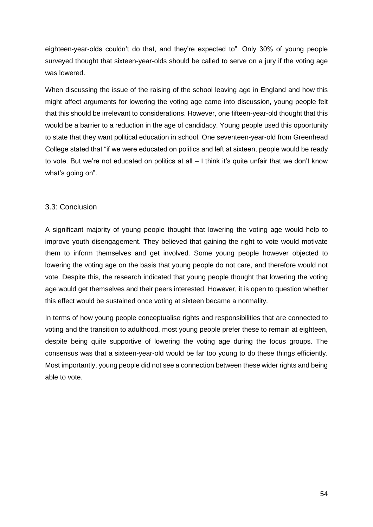eighteen-year-olds couldn't do that, and they're expected to". Only 30% of young people surveyed thought that sixteen-year-olds should be called to serve on a jury if the voting age was lowered.

When discussing the issue of the raising of the school leaving age in England and how this might affect arguments for lowering the voting age came into discussion, young people felt that this should be irrelevant to considerations. However, one fifteen-year-old thought that this would be a barrier to a reduction in the age of candidacy. Young people used this opportunity to state that they want political education in school. One seventeen-year-old from Greenhead College stated that "if we were educated on politics and left at sixteen, people would be ready to vote. But we're not educated on politics at all – I think it's quite unfair that we don't know what's going on".

## <span id="page-54-0"></span>3.3: Conclusion

A significant majority of young people thought that lowering the voting age would help to improve youth disengagement. They believed that gaining the right to vote would motivate them to inform themselves and get involved. Some young people however objected to lowering the voting age on the basis that young people do not care, and therefore would not vote. Despite this, the research indicated that young people thought that lowering the voting age would get themselves and their peers interested. However, it is open to question whether this effect would be sustained once voting at sixteen became a normality.

<span id="page-54-1"></span>In terms of how young people conceptualise rights and responsibilities that are connected to voting and the transition to adulthood, most young people prefer these to remain at eighteen, despite being quite supportive of lowering the voting age during the focus groups. The consensus was that a sixteen-year-old would be far too young to do these things efficiently. Most importantly, young people did not see a connection between these wider rights and being able to vote.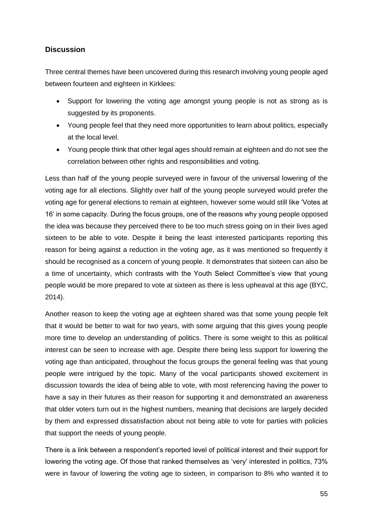## **Discussion**

Three central themes have been uncovered during this research involving young people aged between fourteen and eighteen in Kirklees:

- Support for lowering the voting age amongst young people is not as strong as is suggested by its proponents.
- Young people feel that they need more opportunities to learn about politics, especially at the local level.
- Young people think that other legal ages should remain at eighteen and do not see the correlation between other rights and responsibilities and voting.

Less than half of the young people surveyed were in favour of the universal lowering of the voting age for all elections. Slightly over half of the young people surveyed would prefer the voting age for general elections to remain at eighteen, however some would still like 'Votes at 16' in some capacity. During the focus groups, one of the reasons why young people opposed the idea was because they perceived there to be too much stress going on in their lives aged sixteen to be able to vote. Despite it being the least interested participants reporting this reason for being against a reduction in the voting age, as it was mentioned so frequently it should be recognised as a concern of young people. It demonstrates that sixteen can also be a time of uncertainty, which contrasts with the Youth Select Committee's view that young people would be more prepared to vote at sixteen as there is less upheaval at this age (BYC, 2014).

Another reason to keep the voting age at eighteen shared was that some young people felt that it would be better to wait for two years, with some arguing that this gives young people more time to develop an understanding of politics. There is some weight to this as political interest can be seen to increase with age. Despite there being less support for lowering the voting age than anticipated, throughout the focus groups the general feeling was that young people were intrigued by the topic. Many of the vocal participants showed excitement in discussion towards the idea of being able to vote, with most referencing having the power to have a say in their futures as their reason for supporting it and demonstrated an awareness that older voters turn out in the highest numbers, meaning that decisions are largely decided by them and expressed dissatisfaction about not being able to vote for parties with policies that support the needs of young people.

There is a link between a respondent's reported level of political interest and their support for lowering the voting age. Of those that ranked themselves as 'very' interested in politics, 73% were in favour of lowering the voting age to sixteen, in comparison to 8% who wanted it to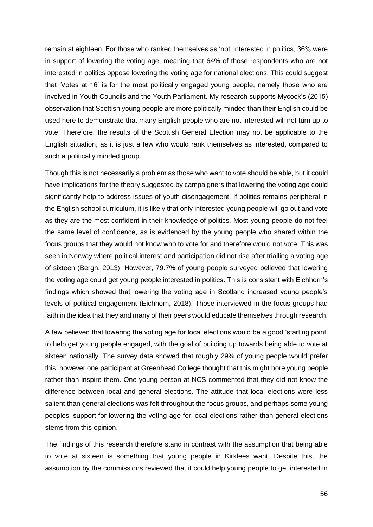remain at eighteen. For those who ranked themselves as 'not' interested in politics, 36% were in support of lowering the voting age, meaning that 64% of those respondents who are not interested in politics oppose lowering the voting age for national elections. This could suggest that 'Votes at 16' is for the most politically engaged young people, namely those who are involved in Youth Councils and the Youth Parliament. My research supports Mycock's (2015) observation that Scottish young people are more politically minded than their English could be used here to demonstrate that many English people who are not interested will not turn up to vote. Therefore, the results of the Scottish General Election may not be applicable to the English situation, as it is just a few who would rank themselves as interested, compared to such a politically minded group.

Though this is not necessarily a problem as those who want to vote should be able, but it could have implications for the theory suggested by campaigners that lowering the voting age could significantly help to address issues of youth disengagement. If politics remains peripheral in the English school curriculum, it is likely that only interested young people will go out and vote as they are the most confident in their knowledge of politics. Most young people do not feel the same level of confidence, as is evidenced by the young people who shared within the focus groups that they would not know who to vote for and therefore would not vote. This was seen in Norway where political interest and participation did not rise after trialling a voting age of sixteen (Bergh, 2013). However, 79.7% of young people surveyed believed that lowering the voting age could get young people interested in politics. This is consistent with Eichhorn's findings which showed that lowering the voting age in Scotland increased young people's levels of political engagement (Eichhorn, 2018). Those interviewed in the focus groups had faith in the idea that they and many of their peers would educate themselves through research.

A few believed that lowering the voting age for local elections would be a good 'starting point' to help get young people engaged, with the goal of building up towards being able to vote at sixteen nationally. The survey data showed that roughly 29% of young people would prefer this, however one participant at Greenhead College thought that this might bore young people rather than inspire them. One young person at NCS commented that they did not know the difference between local and general elections. The attitude that local elections were less salient than general elections was felt throughout the focus groups, and perhaps some young peoples' support for lowering the voting age for local elections rather than general elections stems from this opinion.

The findings of this research therefore stand in contrast with the assumption that being able to vote at sixteen is something that young people in Kirklees want. Despite this, the assumption by the commissions reviewed that it could help young people to get interested in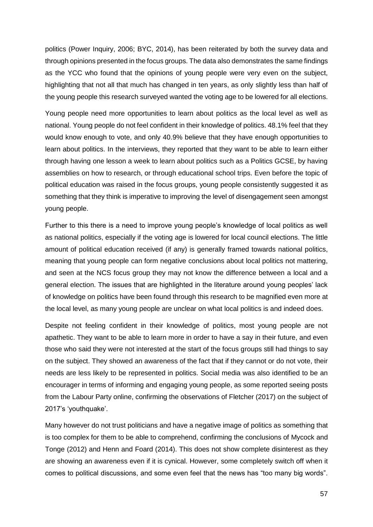politics (Power Inquiry, 2006; BYC, 2014), has been reiterated by both the survey data and through opinions presented in the focus groups. The data also demonstrates the same findings as the YCC who found that the opinions of young people were very even on the subject, highlighting that not all that much has changed in ten years, as only slightly less than half of the young people this research surveyed wanted the voting age to be lowered for all elections.

Young people need more opportunities to learn about politics as the local level as well as national. Young people do not feel confident in their knowledge of politics. 48.1% feel that they would know enough to vote, and only 40.9% believe that they have enough opportunities to learn about politics. In the interviews, they reported that they want to be able to learn either through having one lesson a week to learn about politics such as a Politics GCSE, by having assemblies on how to research, or through educational school trips. Even before the topic of political education was raised in the focus groups, young people consistently suggested it as something that they think is imperative to improving the level of disengagement seen amongst young people.

Further to this there is a need to improve young people's knowledge of local politics as well as national politics, especially if the voting age is lowered for local council elections. The little amount of political education received (if any) is generally framed towards national politics, meaning that young people can form negative conclusions about local politics not mattering, and seen at the NCS focus group they may not know the difference between a local and a general election. The issues that are highlighted in the literature around young peoples' lack of knowledge on politics have been found through this research to be magnified even more at the local level, as many young people are unclear on what local politics is and indeed does.

Despite not feeling confident in their knowledge of politics, most young people are not apathetic. They want to be able to learn more in order to have a say in their future, and even those who said they were not interested at the start of the focus groups still had things to say on the subject. They showed an awareness of the fact that if they cannot or do not vote, their needs are less likely to be represented in politics. Social media was also identified to be an encourager in terms of informing and engaging young people, as some reported seeing posts from the Labour Party online, confirming the observations of Fletcher (2017) on the subject of 2017's 'youthquake'.

Many however do not trust politicians and have a negative image of politics as something that is too complex for them to be able to comprehend, confirming the conclusions of Mycock and Tonge (2012) and Henn and Foard (2014). This does not show complete disinterest as they are showing an awareness even if it is cynical. However, some completely switch off when it comes to political discussions, and some even feel that the news has "too many big words".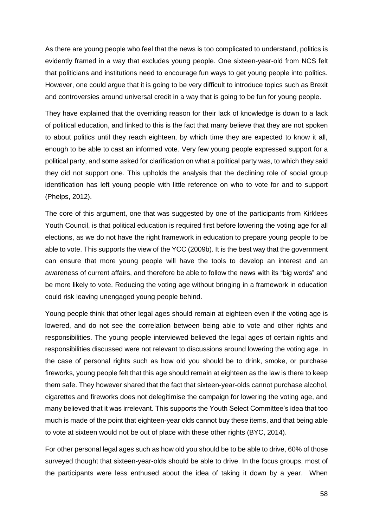As there are young people who feel that the news is too complicated to understand, politics is evidently framed in a way that excludes young people. One sixteen-year-old from NCS felt that politicians and institutions need to encourage fun ways to get young people into politics. However, one could argue that it is going to be very difficult to introduce topics such as Brexit and controversies around universal credit in a way that is going to be fun for young people.

They have explained that the overriding reason for their lack of knowledge is down to a lack of political education, and linked to this is the fact that many believe that they are not spoken to about politics until they reach eighteen, by which time they are expected to know it all, enough to be able to cast an informed vote. Very few young people expressed support for a political party, and some asked for clarification on what a political party was, to which they said they did not support one. This upholds the analysis that the declining role of social group identification has left young people with little reference on who to vote for and to support (Phelps, 2012).

The core of this argument, one that was suggested by one of the participants from Kirklees Youth Council, is that political education is required first before lowering the voting age for all elections, as we do not have the right framework in education to prepare young people to be able to vote. This supports the view of the YCC (2009b). It is the best way that the government can ensure that more young people will have the tools to develop an interest and an awareness of current affairs, and therefore be able to follow the news with its "big words" and be more likely to vote. Reducing the voting age without bringing in a framework in education could risk leaving unengaged young people behind.

Young people think that other legal ages should remain at eighteen even if the voting age is lowered, and do not see the correlation between being able to vote and other rights and responsibilities. The young people interviewed believed the legal ages of certain rights and responsibilities discussed were not relevant to discussions around lowering the voting age. In the case of personal rights such as how old you should be to drink, smoke, or purchase fireworks, young people felt that this age should remain at eighteen as the law is there to keep them safe. They however shared that the fact that sixteen-year-olds cannot purchase alcohol, cigarettes and fireworks does not delegitimise the campaign for lowering the voting age, and many believed that it was irrelevant. This supports the Youth Select Committee's idea that too much is made of the point that eighteen-year olds cannot buy these items, and that being able to vote at sixteen would not be out of place with these other rights (BYC, 2014).

For other personal legal ages such as how old you should be to be able to drive, 60% of those surveyed thought that sixteen-year-olds should be able to drive. In the focus groups, most of the participants were less enthused about the idea of taking it down by a year. When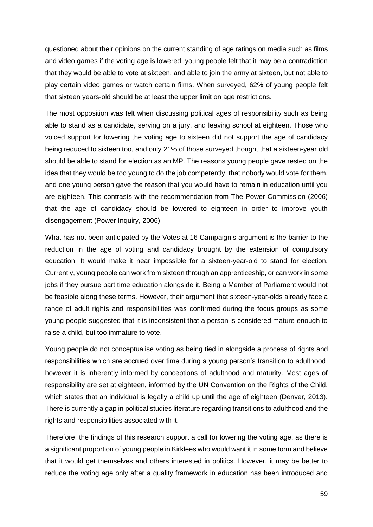questioned about their opinions on the current standing of age ratings on media such as films and video games if the voting age is lowered, young people felt that it may be a contradiction that they would be able to vote at sixteen, and able to join the army at sixteen, but not able to play certain video games or watch certain films. When surveyed, 62% of young people felt that sixteen years-old should be at least the upper limit on age restrictions.

The most opposition was felt when discussing political ages of responsibility such as being able to stand as a candidate, serving on a jury, and leaving school at eighteen. Those who voiced support for lowering the voting age to sixteen did not support the age of candidacy being reduced to sixteen too, and only 21% of those surveyed thought that a sixteen-year old should be able to stand for election as an MP. The reasons young people gave rested on the idea that they would be too young to do the job competently, that nobody would vote for them, and one young person gave the reason that you would have to remain in education until you are eighteen. This contrasts with the recommendation from The Power Commission (2006) that the age of candidacy should be lowered to eighteen in order to improve youth disengagement (Power Inquiry, 2006).

What has not been anticipated by the Votes at 16 Campaign's argument is the barrier to the reduction in the age of voting and candidacy brought by the extension of compulsory education. It would make it near impossible for a sixteen-year-old to stand for election. Currently, young people can work from sixteen through an apprenticeship, or can work in some jobs if they pursue part time education alongside it. Being a Member of Parliament would not be feasible along these terms. However, their argument that sixteen-year-olds already face a range of adult rights and responsibilities was confirmed during the focus groups as some young people suggested that it is inconsistent that a person is considered mature enough to raise a child, but too immature to vote.

Young people do not conceptualise voting as being tied in alongside a process of rights and responsibilities which are accrued over time during a young person's transition to adulthood, however it is inherently informed by conceptions of adulthood and maturity. Most ages of responsibility are set at eighteen, informed by the UN Convention on the Rights of the Child, which states that an individual is legally a child up until the age of eighteen (Denver, 2013). There is currently a gap in political studies literature regarding transitions to adulthood and the rights and responsibilities associated with it.

Therefore, the findings of this research support a call for lowering the voting age, as there is a significant proportion of young people in Kirklees who would want it in some form and believe that it would get themselves and others interested in politics. However, it may be better to reduce the voting age only after a quality framework in education has been introduced and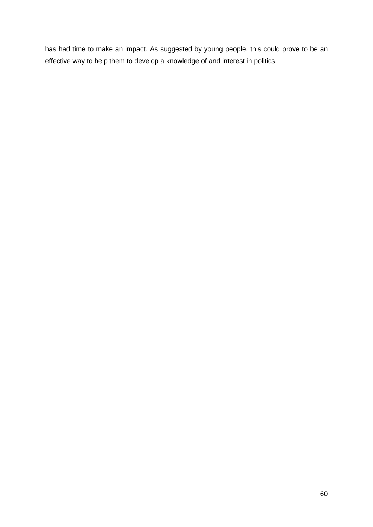has had time to make an impact. As suggested by young people, this could prove to be an effective way to help them to develop a knowledge of and interest in politics.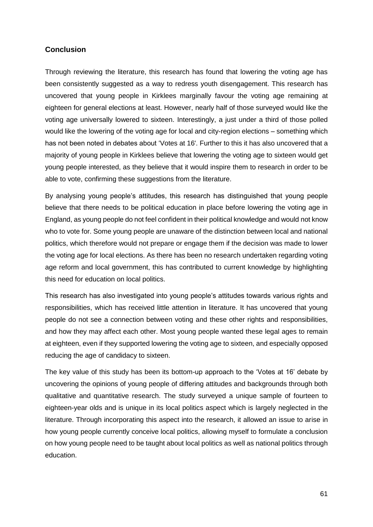## <span id="page-61-0"></span>**Conclusion**

Through reviewing the literature, this research has found that lowering the voting age has been consistently suggested as a way to redress youth disengagement. This research has uncovered that young people in Kirklees marginally favour the voting age remaining at eighteen for general elections at least. However, nearly half of those surveyed would like the voting age universally lowered to sixteen. Interestingly, a just under a third of those polled would like the lowering of the voting age for local and city-region elections – something which has not been noted in debates about 'Votes at 16'. Further to this it has also uncovered that a majority of young people in Kirklees believe that lowering the voting age to sixteen would get young people interested, as they believe that it would inspire them to research in order to be able to vote, confirming these suggestions from the literature.

By analysing young people's attitudes, this research has distinguished that young people believe that there needs to be political education in place before lowering the voting age in England, as young people do not feel confident in their political knowledge and would not know who to vote for. Some young people are unaware of the distinction between local and national politics, which therefore would not prepare or engage them if the decision was made to lower the voting age for local elections. As there has been no research undertaken regarding voting age reform and local government, this has contributed to current knowledge by highlighting this need for education on local politics.

This research has also investigated into young people's attitudes towards various rights and responsibilities, which has received little attention in literature. It has uncovered that young people do not see a connection between voting and these other rights and responsibilities, and how they may affect each other. Most young people wanted these legal ages to remain at eighteen, even if they supported lowering the voting age to sixteen, and especially opposed reducing the age of candidacy to sixteen.

The key value of this study has been its bottom-up approach to the 'Votes at 16' debate by uncovering the opinions of young people of differing attitudes and backgrounds through both qualitative and quantitative research. The study surveyed a unique sample of fourteen to eighteen-year olds and is unique in its local politics aspect which is largely neglected in the literature. Through incorporating this aspect into the research, it allowed an issue to arise in how young people currently conceive local politics, allowing myself to formulate a conclusion on how young people need to be taught about local politics as well as national politics through education.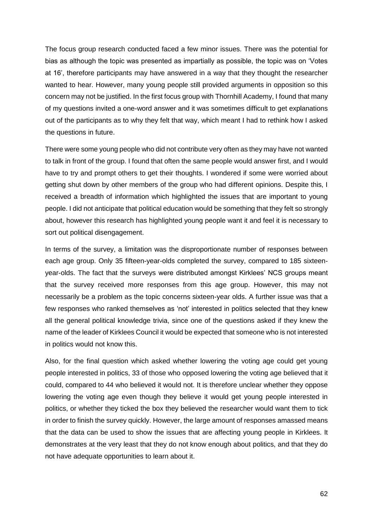The focus group research conducted faced a few minor issues. There was the potential for bias as although the topic was presented as impartially as possible, the topic was on 'Votes at 16', therefore participants may have answered in a way that they thought the researcher wanted to hear. However, many young people still provided arguments in opposition so this concern may not be justified. In the first focus group with Thornhill Academy, I found that many of my questions invited a one-word answer and it was sometimes difficult to get explanations out of the participants as to why they felt that way, which meant I had to rethink how I asked the questions in future.

There were some young people who did not contribute very often as they may have not wanted to talk in front of the group. I found that often the same people would answer first, and I would have to try and prompt others to get their thoughts. I wondered if some were worried about getting shut down by other members of the group who had different opinions. Despite this, I received a breadth of information which highlighted the issues that are important to young people. I did not anticipate that political education would be something that they felt so strongly about, however this research has highlighted young people want it and feel it is necessary to sort out political disengagement.

In terms of the survey, a limitation was the disproportionate number of responses between each age group. Only 35 fifteen-year-olds completed the survey, compared to 185 sixteenyear-olds. The fact that the surveys were distributed amongst Kirklees' NCS groups meant that the survey received more responses from this age group. However, this may not necessarily be a problem as the topic concerns sixteen-year olds. A further issue was that a few responses who ranked themselves as 'not' interested in politics selected that they knew all the general political knowledge trivia, since one of the questions asked if they knew the name of the leader of Kirklees Council it would be expected that someone who is not interested in politics would not know this.

Also, for the final question which asked whether lowering the voting age could get young people interested in politics, 33 of those who opposed lowering the voting age believed that it could, compared to 44 who believed it would not. It is therefore unclear whether they oppose lowering the voting age even though they believe it would get young people interested in politics, or whether they ticked the box they believed the researcher would want them to tick in order to finish the survey quickly. However, the large amount of responses amassed means that the data can be used to show the issues that are affecting young people in Kirklees. It demonstrates at the very least that they do not know enough about politics, and that they do not have adequate opportunities to learn about it.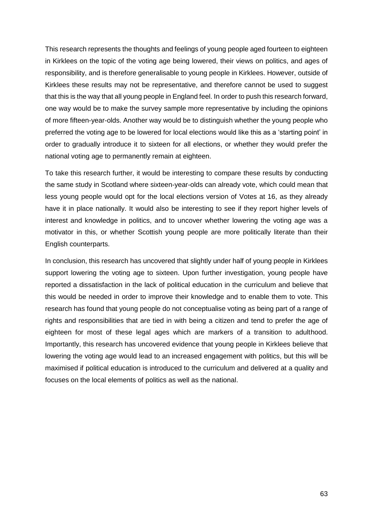This research represents the thoughts and feelings of young people aged fourteen to eighteen in Kirklees on the topic of the voting age being lowered, their views on politics, and ages of responsibility, and is therefore generalisable to young people in Kirklees. However, outside of Kirklees these results may not be representative, and therefore cannot be used to suggest that this is the way that all young people in England feel. In order to push this research forward, one way would be to make the survey sample more representative by including the opinions of more fifteen-year-olds. Another way would be to distinguish whether the young people who preferred the voting age to be lowered for local elections would like this as a 'starting point' in order to gradually introduce it to sixteen for all elections, or whether they would prefer the national voting age to permanently remain at eighteen.

To take this research further, it would be interesting to compare these results by conducting the same study in Scotland where sixteen-year-olds can already vote, which could mean that less young people would opt for the local elections version of Votes at 16, as they already have it in place nationally. It would also be interesting to see if they report higher levels of interest and knowledge in politics, and to uncover whether lowering the voting age was a motivator in this, or whether Scottish young people are more politically literate than their English counterparts.

In conclusion, this research has uncovered that slightly under half of young people in Kirklees support lowering the voting age to sixteen. Upon further investigation, young people have reported a dissatisfaction in the lack of political education in the curriculum and believe that this would be needed in order to improve their knowledge and to enable them to vote. This research has found that young people do not conceptualise voting as being part of a range of rights and responsibilities that are tied in with being a citizen and tend to prefer the age of eighteen for most of these legal ages which are markers of a transition to adulthood. Importantly, this research has uncovered evidence that young people in Kirklees believe that lowering the voting age would lead to an increased engagement with politics, but this will be maximised if political education is introduced to the curriculum and delivered at a quality and focuses on the local elements of politics as well as the national.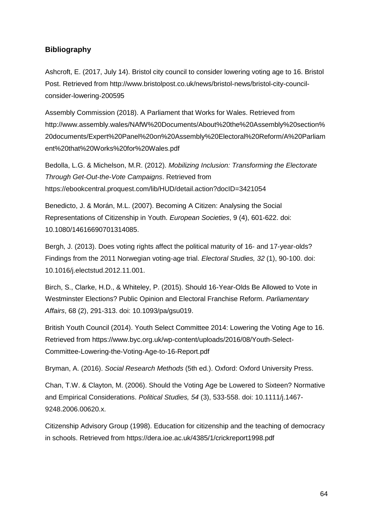## <span id="page-64-0"></span>**Bibliography**

Ashcroft, E. (2017, July 14). Bristol city council to consider lowering voting age to 16. Bristol Post. Retrieved from http://www.bristolpost.co.uk/news/bristol-news/bristol-city-councilconsider-lowering-200595

Assembly Commission (2018). A Parliament that Works for Wales. Retrieved from http://www.assembly.wales/NAfW%20Documents/About%20the%20Assembly%20section% 20documents/Expert%20Panel%20on%20Assembly%20Electoral%20Reform/A%20Parliam ent%20that%20Works%20for%20Wales.pdf

Bedolla, L.G. & Michelson, M.R. (2012). *Mobilizing Inclusion: Transforming the Electorate Through Get-Out-the-Vote Campaigns*. Retrieved from https://ebookcentral.proquest.com/lib/HUD/detail.action?docID=3421054

Benedicto, J. & Morán, M.L. (2007). Becoming A Citizen: Analysing the Social Representations of Citizenship in Youth. *European Societies*, 9 (4), 601-622. doi: 10.1080/14616690701314085.

Bergh, J. (2013). Does voting rights affect the political maturity of 16- and 17-year-olds? Findings from the 2011 Norwegian voting-age trial. *Electoral Studies, 32* (1), 90-100. doi: 10.1016/j.electstud.2012.11.001.

Birch, S., Clarke, H.D., & Whiteley, P. (2015). Should 16-Year-Olds Be Allowed to Vote in Westminster Elections? Public Opinion and Electoral Franchise Reform. *Parliamentary Affairs*, 68 (2), 291-313. doi: 10.1093/pa/gsu019.

British Youth Council (2014). Youth Select Committee 2014: Lowering the Voting Age to 16. Retrieved from https://www.byc.org.uk/wp-content/uploads/2016/08/Youth-Select-Committee-Lowering-the-Voting-Age-to-16-Report.pdf

Bryman, A. (2016). *Social Research Methods* (5th ed.). Oxford: Oxford University Press.

Chan, T.W. & Clayton, M. (2006). Should the Voting Age be Lowered to Sixteen? Normative and Empirical Considerations. *Political Studies, 54* (3), 533-558. doi: 10.1111/j.1467- 9248.2006.00620.x.

Citizenship Advisory Group (1998). Education for citizenship and the teaching of democracy in schools. Retrieved from https://dera.ioe.ac.uk/4385/1/crickreport1998.pdf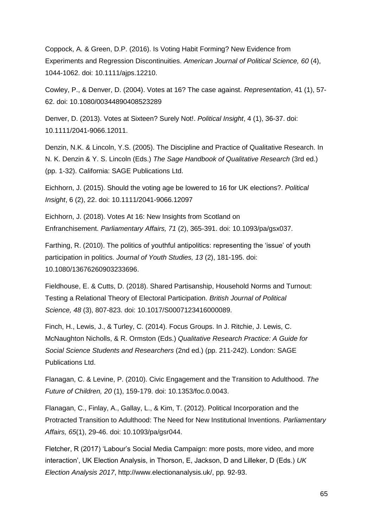Coppock, A. & Green, D.P. (2016). Is Voting Habit Forming? New Evidence from Experiments and Regression Discontinuities. *American Journal of Political Science, 60* (4), 1044-1062. doi: 10.1111/ajps.12210.

Cowley, P., & Denver, D. (2004). Votes at 16? The case against. *Representation*, 41 (1), 57- 62. doi: 10.1080/00344890408523289

Denver, D. (2013). Votes at Sixteen? Surely Not!. *Political Insight*, 4 (1), 36-37. doi: 10.1111/2041-9066.12011.

Denzin, N.K. & Lincoln, Y.S. (2005). The Discipline and Practice of Qualitative Research. In N. K. Denzin & Y. S. Lincoln (Eds.) *The Sage Handbook of Qualitative Research* (3rd ed.) (pp. 1-32). California: SAGE Publications Ltd.

Eichhorn, J. (2015). Should the voting age be lowered to 16 for UK elections?. *Political Insight*, 6 (2), 22. doi: 10.1111/2041-9066.12097

Eichhorn, J. (2018). Votes At 16: New Insights from Scotland on Enfranchisement. *Parliamentary Affairs, 71* (2), 365-391. doi: 10.1093/pa/gsx037.

Farthing, R. (2010). The politics of youthful antipolitics: representing the 'issue' of youth participation in politics. *Journal of Youth Studies, 13* (2), 181-195. doi: 10.1080/13676260903233696.

Fieldhouse, E. & Cutts, D. (2018). Shared Partisanship, Household Norms and Turnout: Testing a Relational Theory of Electoral Participation. *British Journal of Political Science, 48* (3), 807-823. doi: 10.1017/S0007123416000089.

Finch, H., Lewis, J., & Turley, C. (2014). Focus Groups. In J. Ritchie, J. Lewis, C. McNaughton Nicholls, & R. Ormston (Eds.) *Qualitative Research Practice: A Guide for Social Science Students and Researchers* (2nd ed.) (pp. 211-242). London: SAGE Publications Ltd.

Flanagan, C. & Levine, P. (2010). Civic Engagement and the Transition to Adulthood. *The Future of Children, 20* (1), 159-179. doi: 10.1353/foc.0.0043.

Flanagan, C., Finlay, A., Gallay, L., & Kim, T. (2012). Political Incorporation and the Protracted Transition to Adulthood: The Need for New Institutional Inventions. *Parliamentary Affairs, 65*(1), 29-46. doi: 10.1093/pa/gsr044.

Fletcher, R (2017) 'Labour's Social Media Campaign: more posts, more video, and more interaction', UK Election Analysis, in Thorson, E, Jackson, D and Lilleker, D (Eds.) *UK Election Analysis 2017*, http://www.electionanalysis.uk/, pp. 92-93.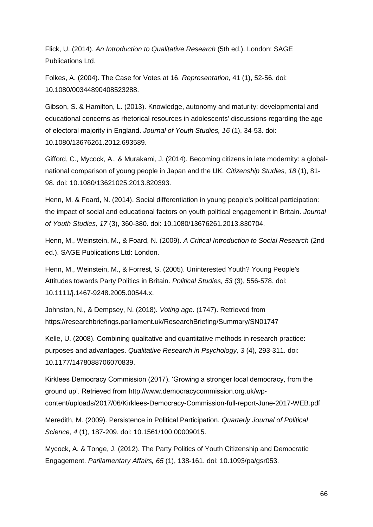Flick, U. (2014). *An Introduction to Qualitative Research* (5th ed.). London: SAGE Publications Ltd.

Folkes, A. (2004). The Case for Votes at 16. *Representation*, 41 (1), 52-56. doi: 10.1080/00344890408523288.

Gibson, S. & Hamilton, L. (2013). Knowledge, autonomy and maturity: developmental and educational concerns as rhetorical resources in adolescents' discussions regarding the age of electoral majority in England. *Journal of Youth Studies, 16* (1), 34-53. doi: 10.1080/13676261.2012.693589.

Gifford, C., Mycock, A., & Murakami, J. (2014). Becoming citizens in late modernity: a globalnational comparison of young people in Japan and the UK. *Citizenship Studies, 18* (1), 81- 98. doi: 10.1080/13621025.2013.820393.

Henn, M. & Foard, N. (2014). Social differentiation in young people's political participation: the impact of social and educational factors on youth political engagement in Britain. *Journal of Youth Studies, 17* (3), 360-380. doi: 10.1080/13676261.2013.830704.

Henn, M., Weinstein, M., & Foard, N. (2009). *A Critical Introduction to Social Research* (2nd ed.). SAGE Publications Ltd: London.

Henn, M., Weinstein, M., & Forrest, S. (2005). Uninterested Youth? Young People's Attitudes towards Party Politics in Britain. *Political Studies, 53* (3), 556-578. doi: 10.1111/j.1467-9248.2005.00544.x.

Johnston, N., & Dempsey, N. (2018). *Voting age*. (1747). Retrieved from https://researchbriefings.parliament.uk/ResearchBriefing/Summary/SN01747

Kelle, U. (2008). Combining qualitative and quantitative methods in research practice: purposes and advantages. *Qualitative Research in Psychology, 3* (4), 293-311. doi: 10.1177/1478088706070839.

Kirklees Democracy Commission (2017). 'Growing a stronger local democracy, from the ground up'. Retrieved from http://www.democracycommission.org.uk/wpcontent/uploads/2017/06/Kirklees-Democracy-Commission-full-report-June-2017-WEB.pdf

Meredith, M. (2009). Persistence in Political Participation. *Quarterly Journal of Political Science*, *4* (1), 187-209. doi: 10.1561/100.00009015.

Mycock, A. & Tonge, J. (2012). The Party Politics of Youth Citizenship and Democratic Engagement. *Parliamentary Affairs, 65* (1), 138-161. doi: 10.1093/pa/gsr053.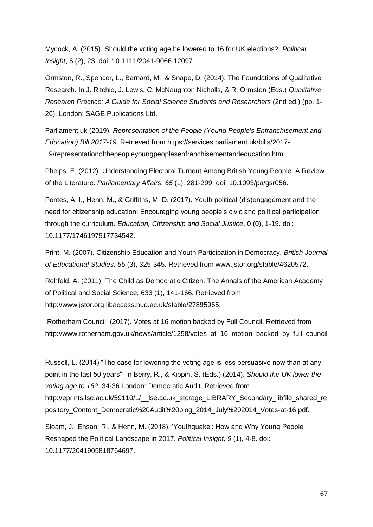Mycock, A. (2015). Should the voting age be lowered to 16 for UK elections?. *Political Insight*, 6 (2), 23. doi: 10.1111/2041-9066.12097

Ormston, R., Spencer, L., Barnard, M., & Snape, D. (2014). The Foundations of Qualitative Research. In J. Ritchie, J. Lewis, C. McNaughton Nicholls, & R. Ormston (Eds.) *Qualitative Research Practice: A Guide for Social Science Students and Researchers* (2nd ed.) (pp. 1- 26). London: SAGE Publications Ltd.

Parliament.uk (2019). *Representation of the People (Young People's Enfranchisement and Education) Bill 2017-19*. Retrieved from https://services.parliament.uk/bills/2017- 19/representationofthepeopleyoungpeoplesenfranchisementandeducation.html

Phelps, E. (2012). Understanding Electoral Turnout Among British Young People: A Review of the Literature. *Parliamentary Affairs, 65* (1), 281-299. doi: 10.1093/pa/gsr056.

Pontes, A. I., Henn, M., & Griffiths, M. D. (2017). Youth political (dis)engagement and the need for citizenship education: Encouraging young people's civic and political participation through the curriculum. *Education, Citizenship and Social Justice*, 0 (0), 1-19. doi: 10.1177/1746197917734542.

Print, M. (2007). Citizenship Education and Youth Participation in Democracy. *British Journal of Educational Studies, 55* (3), 325-345. Retrieved from www.jstor.org/stable/4620572.

Rehfeld, A. (2011). The Child as Democratic Citizen. The Annals of the American Academy of Political and Social Science, 633 (1), 141-166. Retrieved from http://www.jstor.org.libaccess.hud.ac.uk/stable/27895965.

Rotherham Council. (2017). Votes at 16 motion backed by Full Council. Retrieved from http://www.rotherham.gov.uk/news/article/1258/votes\_at\_16\_motion\_backed\_by\_full\_council

.

Russell, L. (2014) "The case for lowering the voting age is less persuasive now than at any point in the last 50 years". In Berry, R., & Kippin, S. (Eds.) (2014). *Should the UK lower the voting age to 16?.* 34-36 London: Democratic Audit. Retrieved from http://eprints.lse.ac.uk/59110/1/\_\_lse.ac.uk\_storage\_LIBRARY\_Secondary\_libfile\_shared\_re pository\_Content\_Democratic%20Audit%20blog\_2014\_July%202014\_Votes-at-16.pdf.

Sloam, J., Ehsan, R., & Henn, M. (2018). 'Youthquake': How and Why Young People Reshaped the Political Landscape in 2017. *Political Insight, 9* (1), 4-8. doi: 10.1177/2041905818764697.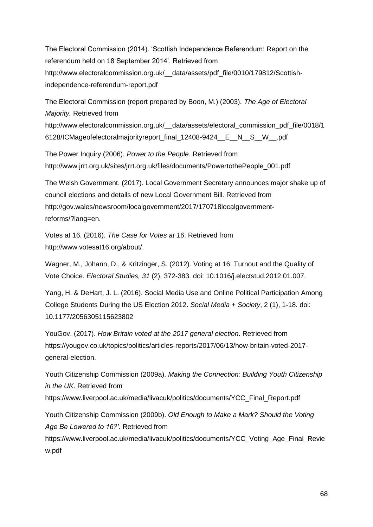The Electoral Commission (2014). 'Scottish Independence Referendum: Report on the referendum held on 18 September 2014'. Retrieved from http://www.electoralcommission.org.uk/\_\_data/assets/pdf\_file/0010/179812/Scottishindependence-referendum-report.pdf

The Electoral Commission (report prepared by Boon, M.) (2003). *The Age of Electoral Majority.* Retrieved from http://www.electoralcommission.org.uk/\_\_data/assets/electoral\_commission\_pdf\_file/0018/1 6128/ICMageofelectoralmajorityreport\_final\_12408-9424\_\_E\_\_N\_\_S\_\_W\_\_.pdf

The Power Inquiry (2006). *Power to the People*. Retrieved from http://www.jrrt.org.uk/sites/jrrt.org.uk/files/documents/PowertothePeople\_001.pdf

The Welsh Government. (2017). Local Government Secretary announces major shake up of council elections and details of new Local Government Bill*.* Retrieved from http://gov.wales/newsroom/localgovernment/2017/170718localgovernmentreforms/?lang=en.

Votes at 16. (2016). *The Case for Votes at 16*. Retrieved from http://www.votesat16.org/about/.

Wagner, M., Johann, D., & Kritzinger, S. (2012). Voting at 16: Turnout and the Quality of Vote Choice. *Electoral Studies, 31* (2), 372-383. doi: 10.1016/j.electstud.2012.01.007.

Yang, H. & DeHart, J. L. (2016). Social Media Use and Online Political Participation Among College Students During the US Election 2012. *Social Media + Society*, 2 (1), 1-18. doi: 10.1177/2056305115623802

YouGov. (2017). *How Britain voted at the 2017 general election*. Retrieved from https://yougov.co.uk/topics/politics/articles-reports/2017/06/13/how-britain-voted-2017 general-election.

Youth Citizenship Commission (2009a). *Making the Connection: Building Youth Citizenship in the UK*. Retrieved from https://www.liverpool.ac.uk/media/livacuk/politics/documents/YCC\_Final\_Report.pdf Youth Citizenship Commission (2009b). *Old Enough to Make a Mark? Should the Voting Age Be Lowered to 16?'.* Retrieved from https://www.liverpool.ac.uk/media/livacuk/politics/documents/YCC\_Voting\_Age\_Final\_Revie w.pdf